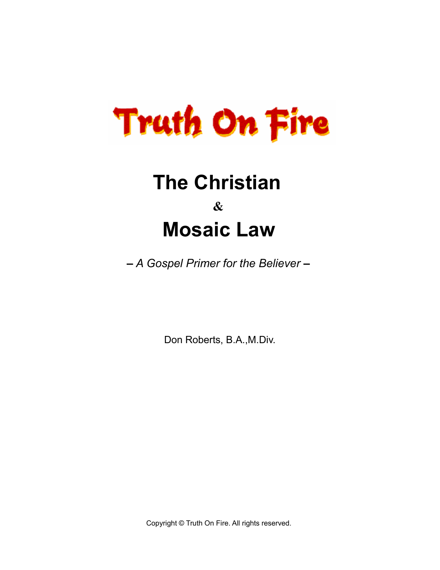

# **The Christian & Mosaic Law**

**–** *A Gospel Primer for the Believer* **–** 

Don Roberts, B.A.,M.Div.

Copyright © Truth On Fire. All rights reserved.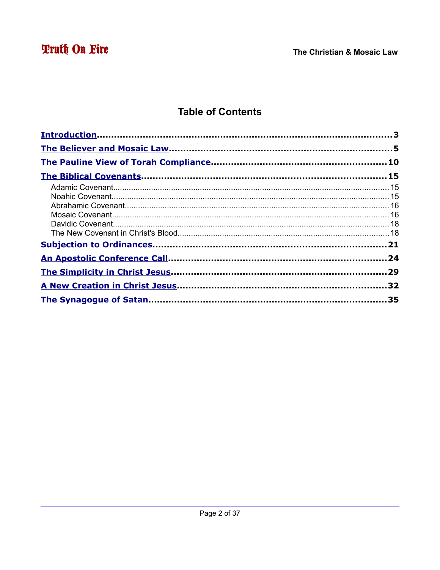# **Table of Contents**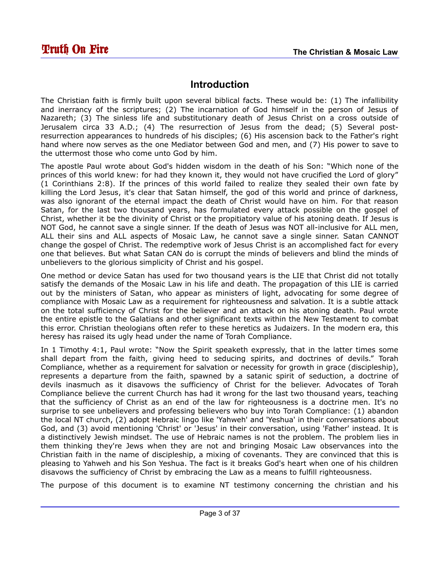### <span id="page-2-0"></span>**Introduction**

The Christian faith is firmly built upon several biblical facts. These would be: (1) The infallibility and inerrancy of the scriptures; (2) The incarnation of God himself in the person of Jesus of Nazareth; (3) The sinless life and substitutionary death of Jesus Christ on a cross outside of Jerusalem circa 33 A.D.; (4) The resurrection of Jesus from the dead; (5) Several postresurrection appearances to hundreds of his disciples; (6) His ascension back to the Father's right hand where now serves as the one Mediator between God and men, and (7) His power to save to the uttermost those who come unto God by him.

The apostle Paul wrote about God's hidden wisdom in the death of his Son: "Which none of the princes of this world knew: for had they known it, they would not have crucified the Lord of glory" (1 Corinthians 2:8). If the princes of this world failed to realize they sealed their own fate by killing the Lord Jesus, it's clear that Satan himself, the god of this world and prince of darkness, was also ignorant of the eternal impact the death of Christ would have on him. For that reason Satan, for the last two thousand years, has formulated every attack possible on the gospel of Christ, whether it be the divinity of Christ or the propitiatory value of his atoning death. If Jesus is NOT God, he cannot save a single sinner. If the death of Jesus was NOT all-inclusive for ALL men, ALL their sins and ALL aspects of Mosaic Law, he cannot save a single sinner. Satan CANNOT change the gospel of Christ. The redemptive work of Jesus Christ is an accomplished fact for every one that believes. But what Satan CAN do is corrupt the minds of believers and blind the minds of unbelievers to the glorious simplicity of Christ and his gospel.

One method or device Satan has used for two thousand years is the LIE that Christ did not totally satisfy the demands of the Mosaic Law in his life and death. The propagation of this LIE is carried out by the ministers of Satan, who appear as ministers of light, advocating for some degree of compliance with Mosaic Law as a requirement for righteousness and salvation. It is a subtle attack on the total sufficiency of Christ for the believer and an attack on his atoning death. Paul wrote the entire epistle to the Galatians and other significant texts within the New Testament to combat this error. Christian theologians often refer to these heretics as Judaizers. In the modern era, this heresy has raised its ugly head under the name of Torah Compliance.

In 1 Timothy 4:1, Paul wrote: "Now the Spirit speaketh expressly, that in the latter times some shall depart from the faith, giving heed to seducing spirits, and doctrines of devils." Torah Compliance, whether as a requirement for salvation or necessity for growth in grace (discipleship), represents a departure from the faith, spawned by a satanic spirit of seduction, a doctrine of devils inasmuch as it disavows the sufficiency of Christ for the believer. Advocates of Torah Compliance believe the current Church has had it wrong for the last two thousand years, teaching that the sufficiency of Christ as an end of the law for righteousness is a doctrine men. It's no surprise to see unbelievers and professing believers who buy into Torah Compliance: (1) abandon the local NT church, (2) adopt Hebraic lingo like 'Yahweh' and 'Yeshua' in their conversations about God, and (3) avoid mentioning 'Christ' or 'Jesus' in their conversation, using 'Father' instead. It is a distinctively Jewish mindset. The use of Hebraic names is not the problem. The problem lies in them thinking they're Jews when they are not and bringing Mosaic Law observances into the Christian faith in the name of discipleship, a mixing of covenants. They are convinced that this is pleasing to Yahweh and his Son Yeshua. The fact is it breaks God's heart when one of his children disavows the sufficiency of Christ by embracing the Law as a means to fulfill righteousness.

The purpose of this document is to examine NT testimony concerning the christian and his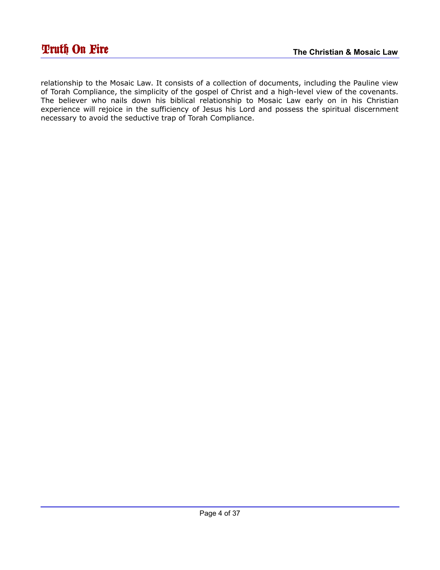relationship to the Mosaic Law. It consists of a collection of documents, including the Pauline view of Torah Compliance, the simplicity of the gospel of Christ and a high-level view of the covenants. The believer who nails down his biblical relationship to Mosaic Law early on in his Christian experience will rejoice in the sufficiency of Jesus his Lord and possess the spiritual discernment necessary to avoid the seductive trap of Torah Compliance.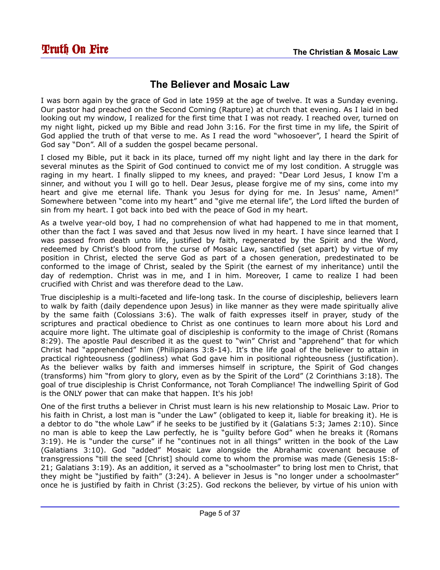## <span id="page-4-0"></span>**The Believer and Mosaic Law**

I was born again by the grace of God in late 1959 at the age of twelve. It was a Sunday evening. Our pastor had preached on the Second Coming (Rapture) at church that evening. As I laid in bed looking out my window, I realized for the first time that I was not ready. I reached over, turned on my night light, picked up my Bible and read John 3:16. For the first time in my life, the Spirit of God applied the truth of that verse to me. As I read the word "whosoever", I heard the Spirit of God say "Don". All of a sudden the gospel became personal.

I closed my Bible, put it back in its place, turned off my night light and lay there in the dark for several minutes as the Spirit of God continued to convict me of my lost condition. A struggle was raging in my heart. I finally slipped to my knees, and prayed: "Dear Lord Jesus, I know I'm a sinner, and without you I will go to hell. Dear Jesus, please forgive me of my sins, come into my heart and give me eternal life. Thank you Jesus for dying for me. In Jesus' name, Amen!" Somewhere between "come into my heart" and "give me eternal life", the Lord lifted the burden of sin from my heart. I got back into bed with the peace of God in my heart.

As a twelve year-old boy, I had no comprehension of what had happened to me in that moment, other than the fact I was saved and that Jesus now lived in my heart. I have since learned that I was passed from death unto life, justified by faith, regenerated by the Spirit and the Word, redeemed by Christ's blood from the curse of Mosaic Law, sanctified (set apart) by virtue of my position in Christ, elected the serve God as part of a chosen generation, predestinated to be conformed to the image of Christ, sealed by the Spirit (the earnest of my inheritance) until the day of redemption. Christ was in me, and I in him. Moreover, I came to realize I had been crucified with Christ and was therefore dead to the Law.

True discipleship is a multi-faceted and life-long task. In the course of discipleship, believers learn to walk by faith (daily dependence upon Jesus) in like manner as they were made spiritually alive by the same faith (Colossians 3:6). The walk of faith expresses itself in prayer, study of the scriptures and practical obedience to Christ as one continues to learn more about his Lord and acquire more light. The ultimate goal of discipleship is conformity to the image of Christ (Romans 8:29). The apostle Paul described it as the quest to "win" Christ and "apprehend" that for which Christ had "apprehended" him (Philippians 3:8-14). It's the life goal of the believer to attain in practical righteousness (godliness) what God gave him in positional righteousness (justification). As the believer walks by faith and immerses himself in scripture, the Spirit of God changes (transforms) him "from glory to glory, even as by the Spirit of the Lord" (2 Corinthians 3:18). The goal of true discipleship is Christ Conformance, not Torah Compliance! The indwelling Spirit of God is the ONLY power that can make that happen. It's his job!

One of the first truths a believer in Christ must learn is his new relationship to Mosaic Law. Prior to his faith in Christ, a lost man is "under the Law" (obligated to keep it, liable for breaking it). He is a debtor to do "the whole Law" if he seeks to be justified by it (Galatians 5:3; James 2:10). Since no man is able to keep the Law perfectly, he is "guilty before God" when he breaks it (Romans 3:19). He is "under the curse" if he "continues not in all things" written in the book of the Law (Galatians 3:10). God "added" Mosaic Law alongside the Abrahamic covenant because of transgressions "till the seed [Christ] should come to whom the promise was made (Genesis 15:8- 21; Galatians 3:19). As an addition, it served as a "schoolmaster" to bring lost men to Christ, that they might be "justified by faith" (3:24). A believer in Jesus is "no longer under a schoolmaster" once he is justified by faith in Christ (3:25). God reckons the believer, by virtue of his union with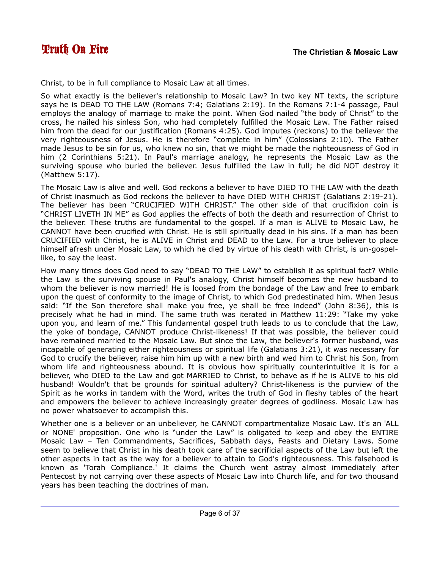Christ, to be in full compliance to Mosaic Law at all times.

So what exactly is the believer's relationship to Mosaic Law? In two key NT texts, the scripture says he is DEAD TO THE LAW (Romans 7:4; Galatians 2:19). In the Romans 7:1-4 passage, Paul employs the analogy of marriage to make the point. When God nailed "the body of Christ" to the cross, he nailed his sinless Son, who had completely fulfilled the Mosaic Law. The Father raised him from the dead for our justification (Romans 4:25). God imputes (reckons) to the believer the very righteousness of Jesus. He is therefore "complete in him" (Colossians 2:10). The Father made Jesus to be sin for us, who knew no sin, that we might be made the righteousness of God in him (2 Corinthians 5:21). In Paul's marriage analogy, he represents the Mosaic Law as the surviving spouse who buried the believer. Jesus fulfilled the Law in full; he did NOT destroy it (Matthew 5:17).

The Mosaic Law is alive and well. God reckons a believer to have DIED TO THE LAW with the death of Christ inasmuch as God reckons the believer to have DIED WITH CHRIST (Galatians 2:19-21). The believer has been "CRUCIFIED WITH CHRIST." The other side of that crucifixion coin is "CHRIST LIVETH IN ME" as God applies the effects of both the death and resurrection of Christ to the believer. These truths are fundamental to the gospel. If a man is ALIVE to Mosaic Law, he CANNOT have been crucified with Christ. He is still spiritually dead in his sins. If a man has been CRUCIFIED with Christ, he is ALIVE in Christ and DEAD to the Law. For a true believer to place himself afresh under Mosaic Law, to which he died by virtue of his death with Christ, is un-gospellike, to say the least.

How many times does God need to say "DEAD TO THE LAW" to establish it as spiritual fact? While the Law is the surviving spouse in Paul's analogy, Christ himself becomes the new husband to whom the believer is now married! He is loosed from the bondage of the Law and free to embark upon the quest of conformity to the image of Christ, to which God predestinated him. When Jesus said: "If the Son therefore shall make you free, ye shall be free indeed" (John 8:36), this is precisely what he had in mind. The same truth was iterated in Matthew 11:29: "Take my yoke upon you, and learn of me." This fundamental gospel truth leads to us to conclude that the Law, the yoke of bondage, CANNOT produce Christ-likeness! If that was possible, the believer could have remained married to the Mosaic Law. But since the Law, the believer's former husband, was incapable of generating either righteousness or spiritual life (Galatians 3:21), it was necessary for God to crucify the believer, raise him him up with a new birth and wed him to Christ his Son, from whom life and righteousness abound. It is obvious how spiritually counterintuitive it is for a believer, who DIED to the Law and got MARRIED to Christ, to behave as if he is ALIVE to his old husband! Wouldn't that be grounds for spiritual adultery? Christ-likeness is the purview of the Spirit as he works in tandem with the Word, writes the truth of God in fleshy tables of the heart and empowers the believer to achieve increasingly greater degrees of godliness. Mosaic Law has no power whatsoever to accomplish this.

Whether one is a believer or an unbeliever, he CANNOT compartmentalize Mosaic Law. It's an 'ALL or NONE' proposition. One who is "under the Law" is obligated to keep and obey the ENTIRE Mosaic Law – Ten Commandments, Sacrifices, Sabbath days, Feasts and Dietary Laws. Some seem to believe that Christ in his death took care of the sacrificial aspects of the Law but left the other aspects in tact as the way for a believer to attain to God's righteousness. This falsehood is known as 'Torah Compliance.' It claims the Church went astray almost immediately after Pentecost by not carrying over these aspects of Mosaic Law into Church life, and for two thousand years has been teaching the doctrines of man.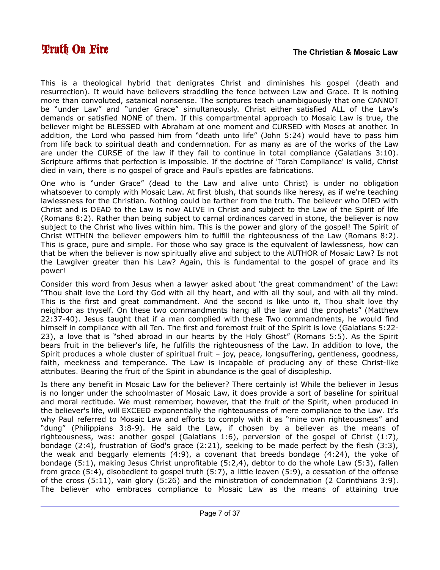This is a theological hybrid that denigrates Christ and diminishes his gospel (death and resurrection). It would have believers straddling the fence between Law and Grace. It is nothing more than convoluted, satanical nonsense. The scriptures teach unambiguously that one CANNOT be "under Law" and "under Grace" simultaneously. Christ either satisfied ALL of the Law's demands or satisfied NONE of them. If this compartmental approach to Mosaic Law is true, the believer might be BLESSED with Abraham at one moment and CURSED with Moses at another. In addition, the Lord who passed him from "death unto life" (John 5:24) would have to pass him from life back to spiritual death and condemnation. For as many as are of the works of the Law are under the CURSE of the law if they fail to continue in total compliance (Galatians 3:10). Scripture affirms that perfection is impossible. If the doctrine of 'Torah Compliance' is valid, Christ died in vain, there is no gospel of grace and Paul's epistles are fabrications.

One who is "under Grace" (dead to the Law and alive unto Christ) is under no obligation whatsoever to comply with Mosaic Law. At first blush, that sounds like heresy, as if we're teaching lawlessness for the Christian. Nothing could be farther from the truth. The believer who DIED with Christ and is DEAD to the Law is now ALIVE in Christ and subject to the Law of the Spirit of life (Romans 8:2). Rather than being subject to carnal ordinances carved in stone, the believer is now subject to the Christ who lives within him. This is the power and glory of the gospel! The Spirit of Christ WITHIN the believer empowers him to fulfill the righteousness of the Law (Romans 8:2). This is grace, pure and simple. For those who say grace is the equivalent of lawlessness, how can that be when the believer is now spiritually alive and subject to the AUTHOR of Mosaic Law? Is not the Lawgiver greater than his Law? Again, this is fundamental to the gospel of grace and its power!

Consider this word from Jesus when a lawyer asked about 'the great commandment' of the Law: "Thou shalt love the Lord thy God with all thy heart, and with all thy soul, and with all thy mind. This is the first and great commandment. And the second is like unto it, Thou shalt love thy neighbor as thyself. On these two commandments hang all the law and the prophets" (Matthew 22:37-40). Jesus taught that if a man complied with these Two commandments, he would find himself in compliance with all Ten. The first and foremost fruit of the Spirit is love (Galatians 5:22- 23), a love that is "shed abroad in our hearts by the Holy Ghost" (Romans 5:5). As the Spirit bears fruit in the believer's life, he fulfills the righteousness of the Law. In addition to love, the Spirit produces a whole cluster of spiritual fruit – joy, peace, longsuffering, gentleness, goodness, faith, meekness and temperance. The Law is incapable of producing any of these Christ-like attributes. Bearing the fruit of the Spirit in abundance is the goal of discipleship.

Is there any benefit in Mosaic Law for the believer? There certainly is! While the believer in Jesus is no longer under the schoolmaster of Mosaic Law, it does provide a sort of baseline for spiritual and moral rectitude. We must remember, however, that the fruit of the Spirit, when produced in the believer's life, will EXCEED exponentially the righteousness of mere compliance to the Law. It's why Paul referred to Mosaic Law and efforts to comply with it as "mine own righteousness" and "dung" (Philippians 3:8-9). He said the Law, if chosen by a believer as the means of righteousness, was: another gospel (Galatians 1:6), perversion of the gospel of Christ (1:7), bondage (2:4), frustration of God's grace (2:21), seeking to be made perfect by the flesh (3:3), the weak and beggarly elements (4:9), a covenant that breeds bondage (4:24), the yoke of bondage (5:1), making Jesus Christ unprofitable (5:2,4), debtor to do the whole Law (5:3), fallen from grace (5:4), disobedient to gospel truth (5:7), a little leaven (5:9), a cessation of the offense of the cross (5:11), vain glory (5:26) and the ministration of condemnation (2 Corinthians 3:9). The believer who embraces compliance to Mosaic Law as the means of attaining true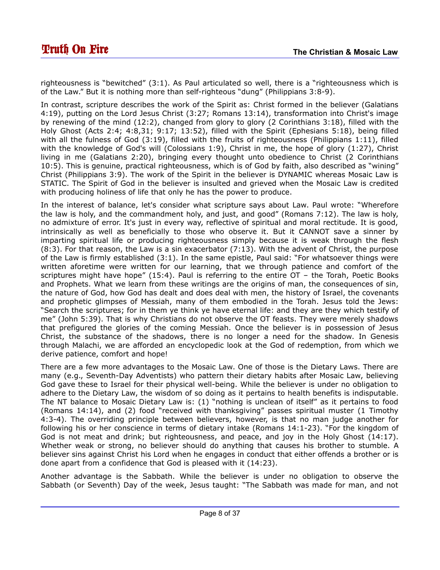righteousness is "bewitched" (3:1). As Paul articulated so well, there is a "righteousness which is of the Law." But it is nothing more than self-righteous "dung" (Philippians 3:8-9).

In contrast, scripture describes the work of the Spirit as: Christ formed in the believer (Galatians 4:19), putting on the Lord Jesus Christ (3:27; Romans 13:14), transformation into Christ's image by renewing of the mind (12:2), changed from glory to glory (2 Corinthians 3:18), filled with the Holy Ghost (Acts 2:4; 4:8,31; 9:17; 13:52), filled with the Spirit (Ephesians 5:18), being filled with all the fulness of God (3:19), filled with the fruits of righteousness (Philippians 1:11), filled with the knowledge of God's will (Colossians 1:9), Christ in me, the hope of glory (1:27), Christ living in me (Galatians 2:20), bringing every thought unto obedience to Christ (2 Corinthians 10:5). This is genuine, practical righteousness, which is of God by faith, also described as "wining" Christ (Philippians 3:9). The work of the Spirit in the believer is DYNAMIC whereas Mosaic Law is STATIC. The Spirit of God in the believer is insulted and grieved when the Mosaic Law is credited with producing holiness of life that only he has the power to produce.

In the interest of balance, let's consider what scripture says about Law. Paul wrote: "Wherefore the law is holy, and the commandment holy, and just, and good" (Romans 7:12). The law is holy, no admixture of error. It's just in every way, reflective of spiritual and moral rectitude. It is good, intrinsically as well as beneficially to those who observe it. But it CANNOT save a sinner by imparting spiritual life or producing righteousness simply because it is weak through the flesh  $(8:3)$ . For that reason, the Law is a sin exacerbator  $(7:13)$ . With the advent of Christ, the purpose of the Law is firmly established (3:1). In the same epistle, Paul said: "For whatsoever things were written aforetime were written for our learning, that we through patience and comfort of the scriptures might have hope" (15:4). Paul is referring to the entire OT – the Torah, Poetic Books and Prophets. What we learn from these writings are the origins of man, the consequences of sin, the nature of God, how God has dealt and does deal with men, the history of Israel, the covenants and prophetic glimpses of Messiah, many of them embodied in the Torah. Jesus told the Jews: "Search the scriptures; for in them ye think ye have eternal life: and they are they which testify of me" (John 5:39). That is why Christians do not observe the OT feasts. They were merely shadows that prefigured the glories of the coming Messiah. Once the believer is in possession of Jesus Christ, the substance of the shadows, there is no longer a need for the shadow. In Genesis through Malachi, we are afforded an encyclopedic look at the God of redemption, from which we derive patience, comfort and hope!

There are a few more advantages to the Mosaic Law. One of those is the Dietary Laws. There are many (e.g., Seventh-Day Adventists) who pattern their dietary habits after Mosaic Law, believing God gave these to Israel for their physical well-being. While the believer is under no obligation to adhere to the Dietary Law, the wisdom of so doing as it pertains to health benefits is indisputable. The NT balance to Mosaic Dietary Law is: (1) "nothing is unclean of itself" as it pertains to food (Romans 14:14), and (2) food "received with thanksgiving" passes spiritual muster (1 Timothy 4:3-4). The overriding principle between believers, however, is that no man judge another for following his or her conscience in terms of dietary intake (Romans 14:1-23). "For the kingdom of God is not meat and drink; but righteousness, and peace, and joy in the Holy Ghost (14:17). Whether weak or strong, no believer should do anything that causes his brother to stumble. A believer sins against Christ his Lord when he engages in conduct that either offends a brother or is done apart from a confidence that God is pleased with it (14:23).

Another advantage is the Sabbath. While the believer is under no obligation to observe the Sabbath (or Seventh) Day of the week, Jesus taught: "The Sabbath was made for man, and not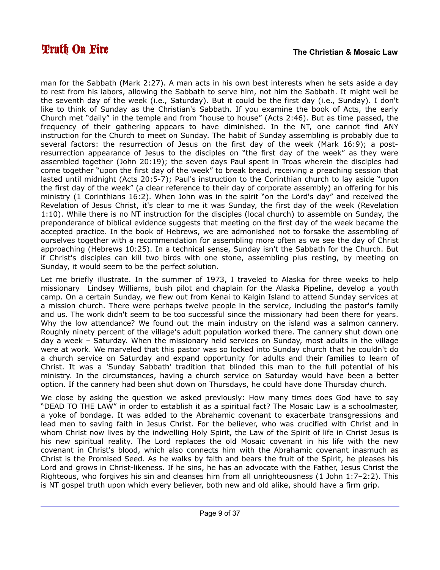man for the Sabbath (Mark 2:27). A man acts in his own best interests when he sets aside a day to rest from his labors, allowing the Sabbath to serve him, not him the Sabbath. It might well be the seventh day of the week (i.e., Saturday). But it could be the first day (i.e., Sunday). I don't like to think of Sunday as the Christian's Sabbath. If you examine the book of Acts, the early Church met "daily" in the temple and from "house to house" (Acts 2:46). But as time passed, the frequency of their gathering appears to have diminished. In the NT, one cannot find ANY instruction for the Church to meet on Sunday. The habit of Sunday assembling is probably due to several factors: the resurrection of Jesus on the first day of the week (Mark 16:9); a postresurrection appearance of Jesus to the disciples on "the first day of the week" as they were assembled together (John 20:19); the seven days Paul spent in Troas wherein the disciples had come together "upon the first day of the week" to break bread, receiving a preaching session that lasted until midnight (Acts 20:5-7); Paul's instruction to the Corinthian church to lay aside "upon the first day of the week" (a clear reference to their day of corporate assembly) an offering for his ministry (1 Corinthians 16:2). When John was in the spirit "on the Lord's day" and received the Revelation of Jesus Christ, it's clear to me it was Sunday, the first day of the week (Revelation 1:10). While there is no NT instruction for the disciples (local church) to assemble on Sunday, the preponderance of biblical evidence suggests that meeting on the first day of the week became the accepted practice. In the book of Hebrews, we are admonished not to forsake the assembling of ourselves together with a recommendation for assembling more often as we see the day of Christ approaching (Hebrews 10:25). In a technical sense, Sunday isn't the Sabbath for the Church. But if Christ's disciples can kill two birds with one stone, assembling plus resting, by meeting on Sunday, it would seem to be the perfect solution.

Let me briefly illustrate. In the summer of 1973, I traveled to Alaska for three weeks to help missionary Lindsey Williams, bush pilot and chaplain for the Alaska Pipeline, develop a youth camp. On a certain Sunday, we flew out from Kenai to Kalgin Island to attend Sunday services at a mission church. There were perhaps twelve people in the service, including the pastor's family and us. The work didn't seem to be too successful since the missionary had been there for years. Why the low attendance? We found out the main industry on the island was a salmon cannery. Roughly ninety percent of the village's adult population worked there. The cannery shut down one day a week – Saturday. When the missionary held services on Sunday, most adults in the village were at work. We marveled that this pastor was so locked into Sunday church that he couldn't do a church service on Saturday and expand opportunity for adults and their families to learn of Christ. It was a 'Sunday Sabbath' tradition that blinded this man to the full potential of his ministry. In the circumstances, having a church service on Saturday would have been a better option. If the cannery had been shut down on Thursdays, he could have done Thursday church.

We close by asking the question we asked previously: How many times does God have to say "DEAD TO THE LAW" in order to establish it as a spiritual fact? The Mosaic Law is a schoolmaster, a yoke of bondage. It was added to the Abrahamic covenant to exacerbate transgressions and lead men to saving faith in Jesus Christ. For the believer, who was crucified with Christ and in whom Christ now lives by the indwelling Holy Spirit, the Law of the Spirit of life in Christ Jesus is his new spiritual reality. The Lord replaces the old Mosaic covenant in his life with the new covenant in Christ's blood, which also connects him with the Abrahamic covenant inasmuch as Christ is the Promised Seed. As he walks by faith and bears the fruit of the Spirit, he pleases his Lord and grows in Christ-likeness. If he sins, he has an advocate with the Father, Jesus Christ the Righteous, who forgives his sin and cleanses him from all unrighteousness (1 John 1:7–2:2). This is NT gospel truth upon which every believer, both new and old alike, should have a firm grip.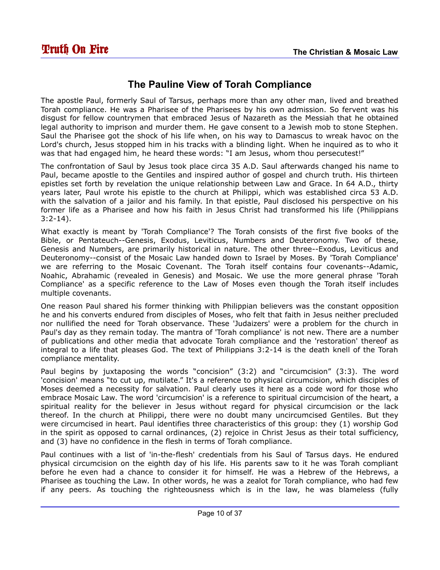## <span id="page-9-0"></span>**The Pauline View of Torah Compliance**

The apostle Paul, formerly Saul of Tarsus, perhaps more than any other man, lived and breathed Torah compliance. He was a Pharisee of the Pharisees by his own admission. So fervent was his disgust for fellow countrymen that embraced Jesus of Nazareth as the Messiah that he obtained legal authority to imprison and murder them. He gave consent to a Jewish mob to stone Stephen. Saul the Pharisee got the shock of his life when, on his way to Damascus to wreak havoc on the Lord's church, Jesus stopped him in his tracks with a blinding light. When he inquired as to who it was that had engaged him, he heard these words: "I am Jesus, whom thou persecutest!"

The confrontation of Saul by Jesus took place circa 35 A.D. Saul afterwards changed his name to Paul, became apostle to the Gentiles and inspired author of gospel and church truth. His thirteen epistles set forth by revelation the unique relationship between Law and Grace. In 64 A.D., thirty years later, Paul wrote his epistle to the church at Philippi, which was established circa 53 A.D. with the salvation of a jailor and his family. In that epistle, Paul disclosed his perspective on his former life as a Pharisee and how his faith in Jesus Christ had transformed his life (Philippians 3:2-14).

What exactly is meant by 'Torah Compliance'? The Torah consists of the first five books of the Bible, or Pentateuch--Genesis, Exodus, Leviticus, Numbers and Deuteronomy. Two of these, Genesis and Numbers, are primarily historical in nature. The other three--Exodus, Leviticus and Deuteronomy--consist of the Mosaic Law handed down to Israel by Moses. By 'Torah Compliance' we are referring to the Mosaic Covenant. The Torah itself contains four covenants--Adamic, Noahic, Abrahamic (revealed in Genesis) and Mosaic. We use the more general phrase 'Torah Compliance' as a specific reference to the Law of Moses even though the Torah itself includes multiple covenants.

One reason Paul shared his former thinking with Philippian believers was the constant opposition he and his converts endured from disciples of Moses, who felt that faith in Jesus neither precluded nor nullified the need for Torah observance. These 'Judaizers' were a problem for the church in Paul's day as they remain today. The mantra of 'Torah compliance' is not new. There are a number of publications and other media that advocate Torah compliance and the 'restoration' thereof as integral to a life that pleases God. The text of Philippians 3:2-14 is the death knell of the Torah compliance mentality.

Paul begins by juxtaposing the words "concision" (3:2) and "circumcision" (3:3). The word 'concision' means "to cut up, mutilate." It's a reference to physical circumcision, which disciples of Moses deemed a necessity for salvation. Paul clearly uses it here as a code word for those who embrace Mosaic Law. The word 'circumcision' is a reference to spiritual circumcision of the heart, a spiritual reality for the believer in Jesus without regard for physical circumcision or the lack thereof. In the church at Philippi, there were no doubt many uncircumcised Gentiles. But they were circumcised in heart. Paul identifies three characteristics of this group: they (1) worship God in the spirit as opposed to carnal ordinances, (2) rejoice in Christ Jesus as their total sufficiency, and (3) have no confidence in the flesh in terms of Torah compliance.

Paul continues with a list of 'in-the-flesh' credentials from his Saul of Tarsus days. He endured physical circumcision on the eighth day of his life. His parents saw to it he was Torah compliant before he even had a chance to consider it for himself. He was a Hebrew of the Hebrews, a Pharisee as touching the Law. In other words, he was a zealot for Torah compliance, who had few if any peers. As touching the righteousness which is in the law, he was blameless (fully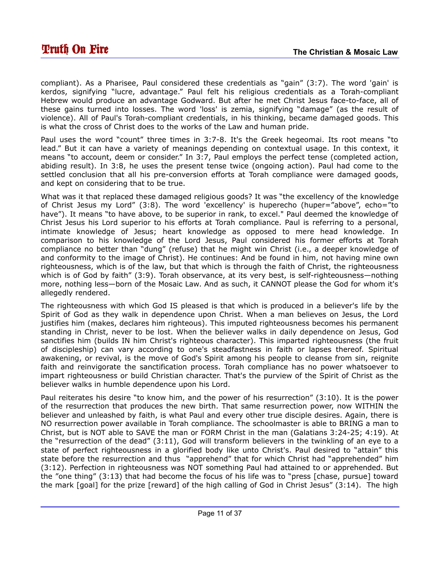compliant). As a Pharisee, Paul considered these credentials as "gain" (3:7). The word 'gain' is kerdos, signifying "lucre, advantage." Paul felt his religious credentials as a Torah-compliant Hebrew would produce an advantage Godward. But after he met Christ Jesus face-to-face, all of these gains turned into losses. The word 'loss' is zemia, signifying "damage" (as the result of violence). All of Paul's Torah-compliant credentials, in his thinking, became damaged goods. This is what the cross of Christ does to the works of the Law and human pride.

Paul uses the word "count" three times in 3:7-8. It's the Greek hegeomai. Its root means "to lead." But it can have a variety of meanings depending on contextual usage. In this context, it means "to account, deem or consider." In 3:7, Paul employs the perfect tense (completed action, abiding result). In 3:8, he uses the present tense twice (ongoing action). Paul had come to the settled conclusion that all his pre-conversion efforts at Torah compliance were damaged goods, and kept on considering that to be true.

What was it that replaced these damaged religious goods? It was "the excellency of the knowledge of Christ Jesus my Lord" (3:8). The word 'excellency' is huperecho (huper="above", echo="to have"). It means "to have above, to be superior in rank, to excel." Paul deemed the knowledge of Christ Jesus his Lord superior to his efforts at Torah compliance. Paul is referring to a personal, intimate knowledge of Jesus; heart knowledge as opposed to mere head knowledge. In comparison to his knowledge of the Lord Jesus, Paul considered his former efforts at Torah compliance no better than "dung" (refuse) that he might win Christ (i.e., a deeper knowledge of and conformity to the image of Christ). He continues: And be found in him, not having mine own righteousness, which is of the law, but that which is through the faith of Christ, the righteousness which is of God by faith" (3:9). Torah observance, at its very best, is self-righteousness—nothing more, nothing less—born of the Mosaic Law. And as such, it CANNOT please the God for whom it's allegedly rendered.

The righteousness with which God IS pleased is that which is produced in a believer's life by the Spirit of God as they walk in dependence upon Christ. When a man believes on Jesus, the Lord justifies him (makes, declares him righteous). This imputed righteousness becomes his permanent standing in Christ, never to be lost. When the believer walks in daily dependence on Jesus, God sanctifies him (builds IN him Christ's righteous character). This imparted righteousness (the fruit of discipleship) can vary according to one's steadfastness in faith or lapses thereof. Spiritual awakening, or revival, is the move of God's Spirit among his people to cleanse from sin, reignite faith and reinvigorate the sanctification process. Torah compliance has no power whatsoever to impart righteousness or build Christian character. That's the purview of the Spirit of Christ as the believer walks in humble dependence upon his Lord.

Paul reiterates his desire "to know him, and the power of his resurrection" (3:10). It is the power of the resurrection that produces the new birth. That same resurrection power, now WITHIN the believer and unleashed by faith, is what Paul and every other true disciple desires. Again, there is NO resurrection power available in Torah compliance. The schoolmaster is able to BRING a man to Christ, but is NOT able to SAVE the man or FORM Christ in the man (Galatians 3:24-25; 4:19). At the "resurrection of the dead" (3:11), God will transform believers in the twinkling of an eye to a state of perfect righteousness in a glorified body like unto Christ's. Paul desired to "attain" this state before the resurrection and thus "apprehend" that for which Christ had "apprehended" him (3:12). Perfection in righteousness was NOT something Paul had attained to or apprehended. But the "one thing" (3:13) that had become the focus of his life was to "press [chase, pursue] toward the mark [goal] for the prize [reward] of the high calling of God in Christ Jesus" (3:14). The high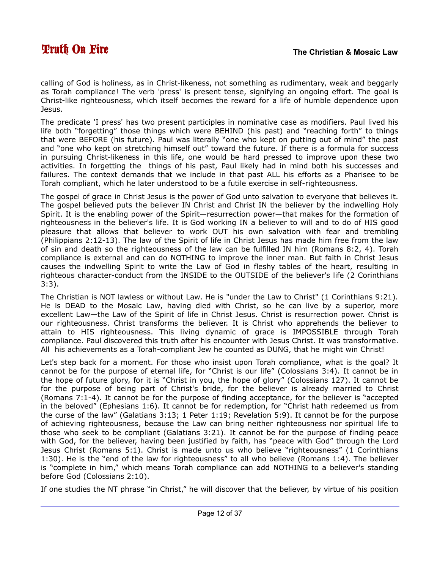calling of God is holiness, as in Christ-likeness, not something as rudimentary, weak and beggarly as Torah compliance! The verb 'press' is present tense, signifying an ongoing effort. The goal is Christ-like righteousness, which itself becomes the reward for a life of humble dependence upon Jesus.

The predicate 'I press' has two present participles in nominative case as modifiers. Paul lived his life both "forgetting" those things which were BEHIND (his past) and "reaching forth" to things that were BEFORE (his future). Paul was literally "one who kept on putting out of mind" the past and "one who kept on stretching himself out" toward the future. If there is a formula for success in pursuing Christ-likeness in this life, one would be hard pressed to improve upon these two activities. In forgetting the things of his past, Paul likely had in mind both his successes and failures. The context demands that we include in that past ALL his efforts as a Pharisee to be Torah compliant, which he later understood to be a futile exercise in self-righteousness.

The gospel of grace in Christ Jesus is the power of God unto salvation to everyone that believes it. The gospel believed puts the believer IN Christ and Christ IN the believer by the indwelling Holy Spirit. It is the enabling power of the Spirit—resurrection power—that makes for the formation of righteousness in the believer's life. It is God working IN a believer to will and to do of HIS good pleasure that allows that believer to work OUT his own salvation with fear and trembling (Philippians 2:12-13). The law of the Spirit of life in Christ Jesus has made him free from the law of sin and death so the righteousness of the law can be fulfilled IN him (Romans 8:2, 4). Torah compliance is external and can do NOTHING to improve the inner man. But faith in Christ Jesus causes the indwelling Spirit to write the Law of God in fleshy tables of the heart, resulting in righteous character-conduct from the INSIDE to the OUTSIDE of the believer's life (2 Corinthians 3:3).

The Christian is NOT lawless or without Law. He is "under the Law to Christ" (1 Corinthians 9:21). He is DEAD to the Mosaic Law, having died with Christ, so he can live by a superior, more excellent Law—the Law of the Spirit of life in Christ Jesus. Christ is resurrection power. Christ is our righteousness. Christ transforms the believer. It is Christ who apprehends the believer to attain to HIS righteousness. This living dynamic of grace is IMPOSSIBLE through Torah compliance. Paul discovered this truth after his encounter with Jesus Christ. It was transformative. All his achievements as a Torah-compliant Jew he counted as DUNG, that he might win Christ!

Let's step back for a moment. For those who insist upon Torah compliance, what is the goal? It cannot be for the purpose of eternal life, for "Christ is our life" (Colossians 3:4). It cannot be in the hope of future glory, for it is "Christ in you, the hope of glory" (Colossians 127). It cannot be for the purpose of being part of Christ's bride, for the believer is already married to Christ (Romans 7:1-4). It cannot be for the purpose of finding acceptance, for the believer is "accepted in the beloved" (Ephesians 1:6). It cannot be for redemption, for "Christ hath redeemed us from the curse of the law" (Galatians 3:13; 1 Peter 1:19; Revelation 5:9). It cannot be for the purpose of achieving righteousness, because the Law can bring neither righteousness nor spiritual life to those who seek to be compliant (Galatians 3:21). It cannot be for the purpose of finding peace with God, for the believer, having been justified by faith, has "peace with God" through the Lord Jesus Christ (Romans 5:1). Christ is made unto us who believe "righteousness" (1 Corinthians 1:30). He is the "end of the law for righteousness" to all who believe (Romans 1:4). The believer is "complete in him," which means Torah compliance can add NOTHING to a believer's standing before God (Colossians 2:10).

If one studies the NT phrase "in Christ," he will discover that the believer, by virtue of his position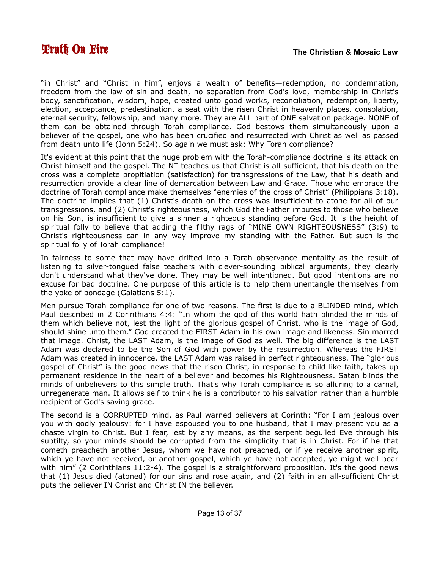"in Christ" and "Christ in him", enjoys a wealth of benefits—redemption, no condemnation, freedom from the law of sin and death, no separation from God's love, membership in Christ's body, sanctification, wisdom, hope, created unto good works, reconciliation, redemption, liberty, election, acceptance, predestination, a seat with the risen Christ in heavenly places, consolation, eternal security, fellowship, and many more. They are ALL part of ONE salvation package. NONE of them can be obtained through Torah compliance. God bestows them simultaneously upon a believer of the gospel, one who has been crucified and resurrected with Christ as well as passed from death unto life (John 5:24). So again we must ask: Why Torah compliance?

It's evident at this point that the huge problem with the Torah-compliance doctrine is its attack on Christ himself and the gospel. The NT teaches us that Christ is all-sufficient, that his death on the cross was a complete propitiation (satisfaction) for transgressions of the Law, that his death and resurrection provide a clear line of demarcation between Law and Grace. Those who embrace the doctrine of Torah compliance make themselves "enemies of the cross of Christ" (Philippians 3:18). The doctrine implies that (1) Christ's death on the cross was insufficient to atone for all of our transgressions, and (2) Christ's righteousness, which God the Father imputes to those who believe on his Son, is insufficient to give a sinner a righteous standing before God. It is the height of spiritual folly to believe that adding the filthy rags of "MINE OWN RIGHTEOUSNESS" (3:9) to Christ's righteousness can in any way improve my standing with the Father. But such is the spiritual folly of Torah compliance!

In fairness to some that may have drifted into a Torah observance mentality as the result of listening to silver-tongued false teachers with clever-sounding biblical arguments, they clearly don't understand what they've done. They may be well intentioned. But good intentions are no excuse for bad doctrine. One purpose of this article is to help them unentangle themselves from the yoke of bondage (Galatians 5:1).

Men pursue Torah compliance for one of two reasons. The first is due to a BLINDED mind, which Paul described in 2 Corinthians 4:4: "In whom the god of this world hath blinded the minds of them which believe not, lest the light of the glorious gospel of Christ, who is the image of God, should shine unto them." God created the FIRST Adam in his own image and likeness. Sin marred that image. Christ, the LAST Adam, is the image of God as well. The big difference is the LAST Adam was declared to be the Son of God with power by the resurrection. Whereas the FIRST Adam was created in innocence, the LAST Adam was raised in perfect righteousness. The "glorious gospel of Christ" is the good news that the risen Christ, in response to child-like faith, takes up permanent residence in the heart of a believer and becomes his Righteousness. Satan blinds the minds of unbelievers to this simple truth. That's why Torah compliance is so alluring to a carnal, unregenerate man. It allows self to think he is a contributor to his salvation rather than a humble recipient of God's saving grace.

The second is a CORRUPTED mind, as Paul warned believers at Corinth: "For I am jealous over you with godly jealousy: for I have espoused you to one husband, that I may present you as a chaste virgin to Christ. But I fear, lest by any means, as the serpent beguiled Eve through his subtilty, so your minds should be corrupted from the simplicity that is in Christ. For if he that cometh preacheth another Jesus, whom we have not preached, or if ye receive another spirit, which ye have not received, or another gospel, which ye have not accepted, ye might well bear with him" (2 Corinthians 11:2-4). The gospel is a straightforward proposition. It's the good news that (1) Jesus died (atoned) for our sins and rose again, and (2) faith in an all-sufficient Christ puts the believer IN Christ and Christ IN the believer.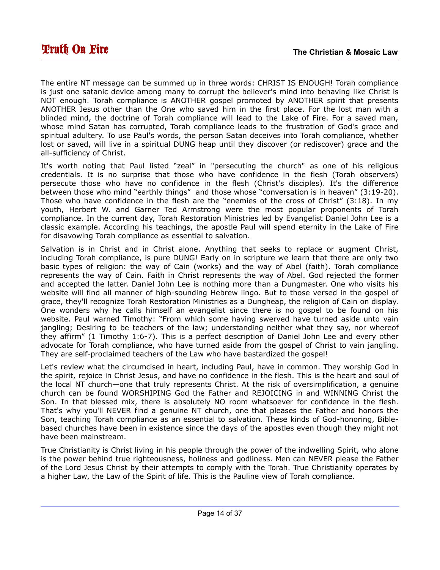The entire NT message can be summed up in three words: CHRIST IS ENOUGH! Torah compliance is just one satanic device among many to corrupt the believer's mind into behaving like Christ is NOT enough. Torah compliance is ANOTHER gospel promoted by ANOTHER spirit that presents ANOTHER Jesus other than the One who saved him in the first place. For the lost man with a blinded mind, the doctrine of Torah compliance will lead to the Lake of Fire. For a saved man, whose mind Satan has corrupted, Torah compliance leads to the frustration of God's grace and spiritual adultery. To use Paul's words, the person Satan deceives into Torah compliance, whether lost or saved, will live in a spiritual DUNG heap until they discover (or rediscover) grace and the all-sufficiency of Christ.

It's worth noting that Paul listed "zeal" in "persecuting the church" as one of his religious credentials. It is no surprise that those who have confidence in the flesh (Torah observers) persecute those who have no confidence in the flesh (Christ's disciples). It's the difference between those who mind "earthly things" and those whose "conversation is in heaven" (3:19-20). Those who have confidence in the flesh are the "enemies of the cross of Christ" (3:18). In my youth, Herbert W. and Garner Ted Armstrong were the most popular proponents of Torah compliance. In the current day, Torah Restoration Ministries led by Evangelist Daniel John Lee is a classic example. According his teachings, the apostle Paul will spend eternity in the Lake of Fire for disavowing Torah compliance as essential to salvation.

Salvation is in Christ and in Christ alone. Anything that seeks to replace or augment Christ, including Torah compliance, is pure DUNG! Early on in scripture we learn that there are only two basic types of religion: the way of Cain (works) and the way of Abel (faith). Torah compliance represents the way of Cain. Faith in Christ represents the way of Abel. God rejected the former and accepted the latter. Daniel John Lee is nothing more than a Dungmaster. One who visits his website will find all manner of high-sounding Hebrew lingo. But to those versed in the gospel of grace, they'll recognize Torah Restoration Ministries as a Dungheap, the religion of Cain on display. One wonders why he calls himself an evangelist since there is no gospel to be found on his website. Paul warned Timothy: "From which some having swerved have turned aside unto vain jangling; Desiring to be teachers of the law; understanding neither what they say, nor whereof they affirm" (1 Timothy 1:6-7). This is a perfect description of Daniel John Lee and every other advocate for Torah compliance, who have turned aside from the gospel of Christ to vain jangling. They are self-proclaimed teachers of the Law who have bastardized the gospel!

Let's review what the circumcised in heart, including Paul, have in common. They worship God in the spirit, rejoice in Christ Jesus, and have no confidence in the flesh. This is the heart and soul of the local NT church—one that truly represents Christ. At the risk of oversimplification, a genuine church can be found WORSHIPING God the Father and REJOICING in and WINNING Christ the Son. In that blessed mix, there is absolutely NO room whatsoever for confidence in the flesh. That's why you'll NEVER find a genuine NT church, one that pleases the Father and honors the Son, teaching Torah compliance as an essential to salvation. These kinds of God-honoring, Biblebased churches have been in existence since the days of the apostles even though they might not have been mainstream.

True Christianity is Christ living in his people through the power of the indwelling Spirit, who alone is the power behind true righteousness, holiness and godliness. Men can NEVER please the Father of the Lord Jesus Christ by their attempts to comply with the Torah. True Christianity operates by a higher Law, the Law of the Spirit of life. This is the Pauline view of Torah compliance.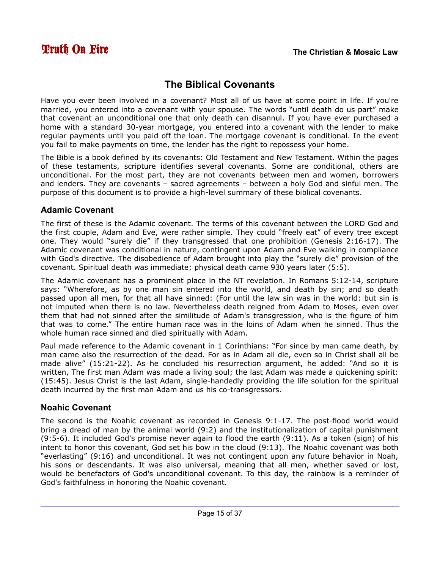# <span id="page-14-0"></span>**The Biblical Covenants**

Have you ever been involved in a covenant? Most all of us have at some point in life. If you're married, you entered into a covenant with your spouse. The words "until death do us part" make that covenant an unconditional one that only death can disannul. If you have ever purchased a home with a standard 30-year mortgage, you entered into a covenant with the lender to make regular payments until you paid off the loan. The mortgage covenant is conditional. In the event you fail to make payments on time, the lender has the right to repossess your home.

The Bible is a book defined by its covenants: Old Testament and New Testament. Within the pages of these testaments, scripture identifies several covenants. Some are conditional, others are unconditional. For the most part, they are not covenants between men and women, borrowers and lenders. They are covenants – sacred agreements – between a holy God and sinful men. The purpose of this document is to provide a high-level summary of these biblical covenants.

#### **Adamic Covenant**

The first of these is the Adamic covenant. The terms of this covenant between the LORD God and the first couple, Adam and Eve, were rather simple. They could "freely eat" of every tree except one. They would "surely die" if they transgressed that one prohibition (Genesis 2:16-17). The Adamic covenant was conditional in nature, contingent upon Adam and Eve walking in compliance with God's directive. The disobedience of Adam brought into play the "surely die" provision of the covenant. Spiritual death was immediate; physical death came 930 years later (5:5).

The Adamic covenant has a prominent place in the NT revelation. In Romans 5:12-14, scripture says: "Wherefore, as by one man sin entered into the world, and death by sin; and so death passed upon all men, for that all have sinned: (For until the law sin was in the world: but sin is not imputed when there is no law. Nevertheless death reigned from Adam to Moses, even over them that had not sinned after the similitude of Adam's transgression, who is the figure of him that was to come." The entire human race was in the loins of Adam when he sinned. Thus the whole human race sinned and died spiritually with Adam.

Paul made reference to the Adamic covenant in 1 Corinthians: "For since by man came death, by man came also the resurrection of the dead. For as in Adam all die, even so in Christ shall all be made alive" (15:21-22). As he concluded his resurrection argument, he added: "And so it is written, The first man Adam was made a living soul; the last Adam was made a quickening spirit: (15:45). Jesus Christ is the last Adam, single-handedly providing the life solution for the spiritual death incurred by the first man Adam and us his co-transgressors.

#### **Noahic Covenant**

The second is the Noahic covenant as recorded in Genesis 9:1-17. The post-flood world would bring a dread of man by the animal world (9:2) and the institutionalization of capital punishment (9:5-6). It included God's promise never again to flood the earth (9:11). As a token (sign) of his intent to honor this covenant, God set his bow in the cloud (9:13). The Noahic covenant was both "everlasting" (9:16) and unconditional. It was not contingent upon any future behavior in Noah, his sons or descendants. It was also universal, meaning that all men, whether saved or lost, would be benefactors of God's unconditional covenant. To this day, the rainbow is a reminder of God's faithfulness in honoring the Noahic covenant.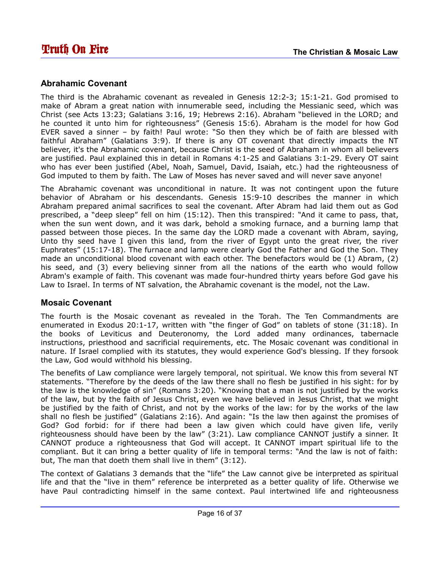#### **Abrahamic Covenant**

The third is the Abrahamic covenant as revealed in Genesis 12:2-3; 15:1-21. God promised to make of Abram a great nation with innumerable seed, including the Messianic seed, which was Christ (see Acts 13:23; Galatians 3:16, 19; Hebrews 2:16). Abraham "believed in the LORD; and he counted it unto him for righteousness" (Genesis 15:6). Abraham is the model for how God EVER saved a sinner – by faith! Paul wrote: "So then they which be of faith are blessed with faithful Abraham" (Galatians 3:9). If there is any OT covenant that directly impacts the NT believer, it's the Abrahamic covenant, because Christ is the seed of Abraham in whom all believers are justified. Paul explained this in detail in Romans 4:1-25 and Galatians 3:1-29. Every OT saint who has ever been justified (Abel, Noah, Samuel, David, Isaiah, etc.) had the righteousness of God imputed to them by faith. The Law of Moses has never saved and will never save anyone!

The Abrahamic covenant was unconditional in nature. It was not contingent upon the future behavior of Abraham or his descendants. Genesis 15:9-10 describes the manner in which Abraham prepared animal sacrifices to seal the covenant. After Abram had laid them out as God prescribed, a "deep sleep" fell on him (15:12). Then this transpired: "And it came to pass, that, when the sun went down, and it was dark, behold a smoking furnace, and a burning lamp that passed between those pieces. In the same day the LORD made a covenant with Abram, saying, Unto thy seed have I given this land, from the river of Egypt unto the great river, the river Euphrates" (15:17-18). The furnace and lamp were clearly God the Father and God the Son. They made an unconditional blood covenant with each other. The benefactors would be (1) Abram, (2) his seed, and (3) every believing sinner from all the nations of the earth who would follow Abram's example of faith. This covenant was made four-hundred thirty years before God gave his Law to Israel. In terms of NT salvation, the Abrahamic covenant is the model, not the Law.

#### **Mosaic Covenant**

The fourth is the Mosaic covenant as revealed in the Torah. The Ten Commandments are enumerated in Exodus 20:1-17, written with "the finger of God" on tablets of stone (31:18). In the books of Leviticus and Deuteronomy, the Lord added many ordinances, tabernacle instructions, priesthood and sacrificial requirements, etc. The Mosaic covenant was conditional in nature. If Israel complied with its statutes, they would experience God's blessing. If they forsook the Law, God would withhold his blessing.

The benefits of Law compliance were largely temporal, not spiritual. We know this from several NT statements. "Therefore by the deeds of the law there shall no flesh be justified in his sight: for by the law is the knowledge of sin" (Romans 3:20). "Knowing that a man is not justified by the works of the law, but by the faith of Jesus Christ, even we have believed in Jesus Christ, that we might be justified by the faith of Christ, and not by the works of the law: for by the works of the law shall no flesh be justified" (Galatians 2:16). And again: "Is the law then against the promises of God? God forbid: for if there had been a law given which could have given life, verily righteousness should have been by the law" (3:21). Law compliance CANNOT justify a sinner. It CANNOT produce a righteousness that God will accept. It CANNOT impart spiritual life to the compliant. But it can bring a better quality of life in temporal terms: "And the law is not of faith: but, The man that doeth them shall live in them" (3:12).

The context of Galatians 3 demands that the "life" the Law cannot give be interpreted as spiritual life and that the "live in them" reference be interpreted as a better quality of life. Otherwise we have Paul contradicting himself in the same context. Paul intertwined life and righteousness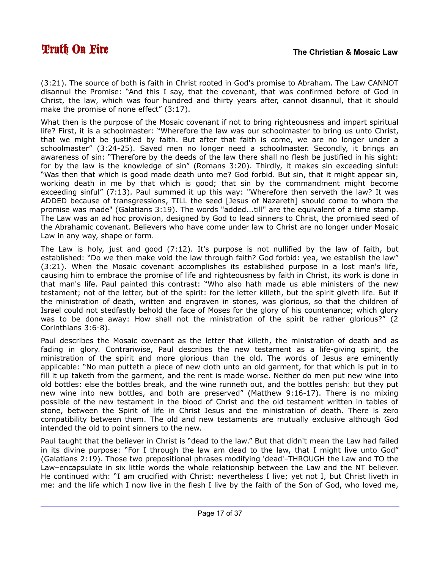(3:21). The source of both is faith in Christ rooted in God's promise to Abraham. The Law CANNOT disannul the Promise: "And this I say, that the covenant, that was confirmed before of God in Christ, the law, which was four hundred and thirty years after, cannot disannul, that it should make the promise of none effect" (3:17).

What then is the purpose of the Mosaic covenant if not to bring righteousness and impart spiritual life? First, it is a schoolmaster: "Wherefore the law was our schoolmaster to bring us unto Christ, that we might be justified by faith. But after that faith is come, we are no longer under a schoolmaster" (3:24-25). Saved men no longer need a schoolmaster. Secondly, it brings an awareness of sin: "Therefore by the deeds of the law there shall no flesh be justified in his sight: for by the law is the knowledge of sin" (Romans 3:20). Thirdly, it makes sin exceeding sinful: "Was then that which is good made death unto me? God forbid. But sin, that it might appear sin, working death in me by that which is good; that sin by the commandment might become exceeding sinful" (7:13). Paul summed it up this way: "Wherefore then serveth the law? It was ADDED because of transgressions, TILL the seed [Jesus of Nazareth] should come to whom the promise was made" (Galatians 3:19). The words "added...till" are the equivalent of a time stamp. The Law was an ad hoc provision, designed by God to lead sinners to Christ, the promised seed of the Abrahamic covenant. Believers who have come under law to Christ are no longer under Mosaic Law in any way, shape or form.

The Law is holy, just and good (7:12). It's purpose is not nullified by the law of faith, but established: "Do we then make void the law through faith? God forbid: yea, we establish the law" (3:21). When the Mosaic covenant accomplishes its established purpose in a lost man's life, causing him to embrace the promise of life and righteousness by faith in Christ, its work is done in that man's life. Paul painted this contrast: "Who also hath made us able ministers of the new testament; not of the letter, but of the spirit: for the letter killeth, but the spirit giveth life. But if the ministration of death, written and engraven in stones, was glorious, so that the children of Israel could not stedfastly behold the face of Moses for the glory of his countenance; which glory was to be done away: How shall not the ministration of the spirit be rather glorious?" (2 Corinthians 3:6-8).

Paul describes the Mosaic covenant as the letter that killeth, the ministration of death and as fading in glory. Contrariwise, Paul describes the new testament as a life-giving spirit, the ministration of the spirit and more glorious than the old. The words of Jesus are eminently applicable: "No man putteth a piece of new cloth unto an old garment, for that which is put in to fill it up taketh from the garment, and the rent is made worse. Neither do men put new wine into old bottles: else the bottles break, and the wine runneth out, and the bottles perish: but they put new wine into new bottles, and both are preserved" (Matthew 9:16-17). There is no mixing possible of the new testament in the blood of Christ and the old testament written in tables of stone, between the Spirit of life in Christ Jesus and the ministration of death. There is zero compatibility between them. The old and new testaments are mutually exclusive although God intended the old to point sinners to the new.

Paul taught that the believer in Christ is "dead to the law." But that didn't mean the Law had failed in its divine purpose: "For I through the law am dead to the law, that I might live unto God" (Galatians 2:19). Those two prepositional phrases modifying 'dead'–THROUGH the Law and TO the Law–encapsulate in six little words the whole relationship between the Law and the NT believer. He continued with: "I am crucified with Christ: nevertheless I live; yet not I, but Christ liveth in me: and the life which I now live in the flesh I live by the faith of the Son of God, who loved me,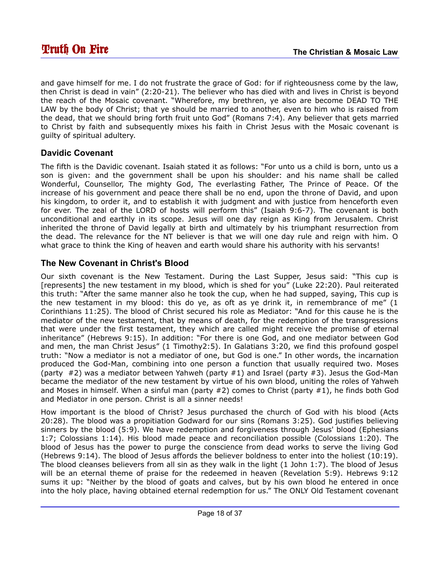and gave himself for me. I do not frustrate the grace of God: for if righteousness come by the law, then Christ is dead in vain" (2:20-21). The believer who has died with and lives in Christ is beyond the reach of the Mosaic covenant. "Wherefore, my brethren, ye also are become DEAD TO THE LAW by the body of Christ; that ye should be married to another, even to him who is raised from the dead, that we should bring forth fruit unto God" (Romans 7:4). Any believer that gets married to Christ by faith and subsequently mixes his faith in Christ Jesus with the Mosaic covenant is guilty of spiritual adultery.

#### **Davidic Covenant**

The fifth is the Davidic covenant. Isaiah stated it as follows: "For unto us a child is born, unto us a son is given: and the government shall be upon his shoulder: and his name shall be called Wonderful, Counsellor, The mighty God, The everlasting Father, The Prince of Peace. Of the increase of his government and peace there shall be no end, upon the throne of David, and upon his kingdom, to order it, and to establish it with judgment and with justice from henceforth even for ever. The zeal of the LORD of hosts will perform this" (Isaiah 9:6-7). The covenant is both unconditional and earthly in its scope. Jesus will one day reign as King from Jerusalem. Christ inherited the throne of David legally at birth and ultimately by his triumphant resurrection from the dead. The relevance for the NT believer is that we will one day rule and reign with him. O what grace to think the King of heaven and earth would share his authority with his servants!

#### **The New Covenant in Christ's Blood**

Our sixth covenant is the New Testament. During the Last Supper, Jesus said: "This cup is [represents] the new testament in my blood, which is shed for you" (Luke 22:20). Paul reiterated this truth: "After the same manner also he took the cup, when he had supped, saying, This cup is the new testament in my blood: this do ye, as oft as ye drink it, in remembrance of me" (1 Corinthians 11:25). The blood of Christ secured his role as Mediator: "And for this cause he is the mediator of the new testament, that by means of death, for the redemption of the transgressions that were under the first testament, they which are called might receive the promise of eternal inheritance" (Hebrews 9:15). In addition: "For there is one God, and one mediator between God and men, the man Christ Jesus" (1 Timothy2:5). In Galatians 3:20, we find this profound gospel truth: "Now a mediator is not a mediator of one, but God is one." In other words, the incarnation produced the God-Man, combining into one person a function that usually required two. Moses (party  $#2$ ) was a mediator between Yahweh (party  $#1$ ) and Israel (party  $#3$ ). Jesus the God-Man became the mediator of the new testament by virtue of his own blood, uniting the roles of Yahweh and Moses in himself. When a sinful man (party  $#2$ ) comes to Christ (party  $#1$ ), he finds both God and Mediator in one person. Christ is all a sinner needs!

How important is the blood of Christ? Jesus purchased the church of God with his blood (Acts 20:28). The blood was a propitiation Godward for our sins (Romans 3:25). God justifies believing sinners by the blood (5:9). We have redemption and forgiveness through Jesus' blood (Ephesians 1:7; Colossians 1:14). His blood made peace and reconciliation possible (Colossians 1:20). The blood of Jesus has the power to purge the conscience from dead works to serve the living God (Hebrews 9:14). The blood of Jesus affords the believer boldness to enter into the holiest (10:19). The blood cleanses believers from all sin as they walk in the light (1 John 1:7). The blood of Jesus will be an eternal theme of praise for the redeemed in heaven (Revelation 5:9). Hebrews 9:12 sums it up: "Neither by the blood of goats and calves, but by his own blood he entered in once into the holy place, having obtained eternal redemption for us." The ONLY Old Testament covenant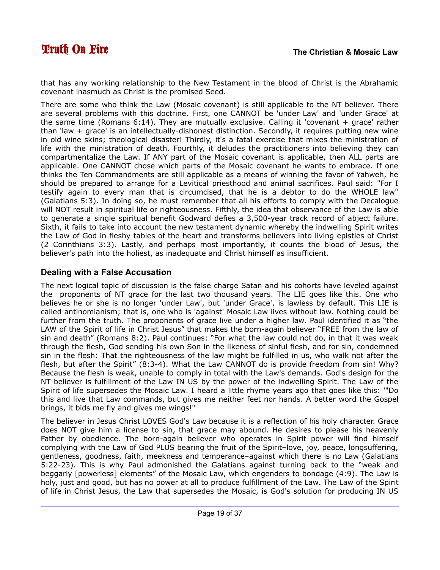that has any working relationship to the New Testament in the blood of Christ is the Abrahamic covenant inasmuch as Christ is the promised Seed.

There are some who think the Law (Mosaic covenant) is still applicable to the NT believer. There are several problems with this doctrine. First, one CANNOT be 'under Law' and 'under Grace' at the same time (Romans 6:14). They are mutually exclusive. Calling it 'covenant + grace' rather than 'law + grace' is an intellectually-dishonest distinction. Secondly, it requires putting new wine in old wine skins; theological disaster! Thirdly, it's a fatal exercise that mixes the ministration of life with the ministration of death. Fourthly, it deludes the practitioners into believing they can compartmentalize the Law. If ANY part of the Mosaic covenant is applicable, then ALL parts are applicable. One CANNOT chose which parts of the Mosaic covenant he wants to embrace. If one thinks the Ten Commandments are still applicable as a means of winning the favor of Yahweh, he should be prepared to arrange for a Levitical priesthood and animal sacrifices. Paul said: "For I testify again to every man that is circumcised, that he is a debtor to do the WHOLE law" (Galatians 5:3). In doing so, he must remember that all his efforts to comply with the Decalogue will NOT result in spiritual life or righteousness. Fifthly, the idea that observance of the Law is able to generate a single spiritual benefit Godward defies a 3,500-year track record of abject failure. Sixth, it fails to take into account the new testament dynamic whereby the indwelling Spirit writes the Law of God in fleshy tables of the heart and transforms believers into living epistles of Christ (2 Corinthians 3:3). Lastly, and perhaps most importantly, it counts the blood of Jesus, the believer's path into the holiest, as inadequate and Christ himself as insufficient.

#### **Dealing with a False Accusation**

The next logical topic of discussion is the false charge Satan and his cohorts have leveled against the proponents of NT grace for the last two thousand years. The LIE goes like this. One who believes he or she is no longer 'under Law', but 'under Grace', is lawless by default. This LIE is called antinomianism; that is, one who is 'against' Mosaic Law lives without law. Nothing could be further from the truth. The proponents of grace live under a higher law. Paul identified it as "the LAW of the Spirit of life in Christ Jesus" that makes the born-again believer "FREE from the law of sin and death" (Romans 8:2). Paul continues: "For what the law could not do, in that it was weak through the flesh, God sending his own Son in the likeness of sinful flesh, and for sin, condemned sin in the flesh: That the righteousness of the law might be fulfilled in us, who walk not after the flesh, but after the Spirit" (8:3-4). What the Law CANNOT do is provide freedom from sin! Why? Because the flesh is weak, unable to comply in total with the Law's demands. God's design for the NT believer is fulfillment of the Law IN US by the power of the indwelling Spirit. The Law of the Spirit of life supersedes the Mosaic Law. I heard a little rhyme years ago that goes like this: '"Do this and live that Law commands, but gives me neither feet nor hands. A better word the Gospel brings, it bids me fly and gives me wings!"

The believer in Jesus Christ LOVES God's Law because it is a reflection of his holy character. Grace does NOT give him a license to sin, that grace may abound. He desires to please his heavenly Father by obedience. The born-again believer who operates in Spirit power will find himself complying with the Law of God PLUS bearing the fruit of the Spirit–love, joy, peace, longsuffering, gentleness, goodness, faith, meekness and temperance–against which there is no Law (Galatians 5:22-23). This is why Paul admonished the Galatians against turning back to the "weak and beggarly [powerless] elements" of the Mosaic Law, which engenders to bondage (4:9). The Law is holy, just and good, but has no power at all to produce fulfillment of the Law. The Law of the Spirit of life in Christ Jesus, the Law that supersedes the Mosaic, is God's solution for producing IN US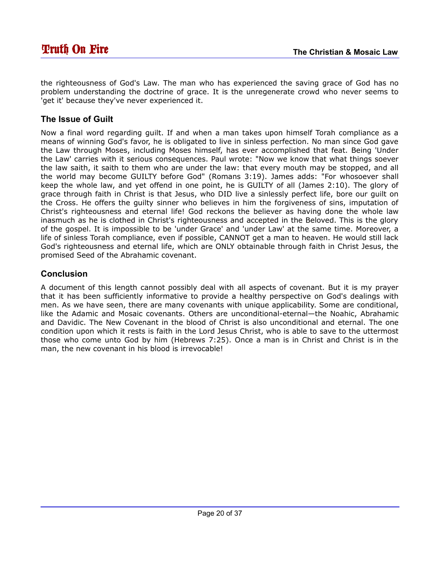the righteousness of God's Law. The man who has experienced the saving grace of God has no problem understanding the doctrine of grace. It is the unregenerate crowd who never seems to 'get it' because they've never experienced it.

#### **The Issue of Guilt**

Now a final word regarding guilt. If and when a man takes upon himself Torah compliance as a means of winning God's favor, he is obligated to live in sinless perfection. No man since God gave the Law through Moses, including Moses himself, has ever accomplished that feat. Being 'Under the Law' carries with it serious consequences. Paul wrote: "Now we know that what things soever the law saith, it saith to them who are under the law: that every mouth may be stopped, and all the world may become GUILTY before God" (Romans 3:19). James adds: "For whosoever shall keep the whole law, and yet offend in one point, he is GUILTY of all (James 2:10). The glory of grace through faith in Christ is that Jesus, who DID live a sinlessly perfect life, bore our guilt on the Cross. He offers the guilty sinner who believes in him the forgiveness of sins, imputation of Christ's righteousness and eternal life! God reckons the believer as having done the whole law inasmuch as he is clothed in Christ's righteousness and accepted in the Beloved. This is the glory of the gospel. It is impossible to be 'under Grace' and 'under Law' at the same time. Moreover, a life of sinless Torah compliance, even if possible, CANNOT get a man to heaven. He would still lack God's righteousness and eternal life, which are ONLY obtainable through faith in Christ Jesus, the promised Seed of the Abrahamic covenant.

#### **Conclusion**

A document of this length cannot possibly deal with all aspects of covenant. But it is my prayer that it has been sufficiently informative to provide a healthy perspective on God's dealings with men. As we have seen, there are many covenants with unique applicability. Some are conditional, like the Adamic and Mosaic covenants. Others are unconditional-eternal—the Noahic, Abrahamic and Davidic. The New Covenant in the blood of Christ is also unconditional and eternal. The one condition upon which it rests is faith in the Lord Jesus Christ, who is able to save to the uttermost those who come unto God by him (Hebrews 7:25). Once a man is in Christ and Christ is in the man, the new covenant in his blood is irrevocable!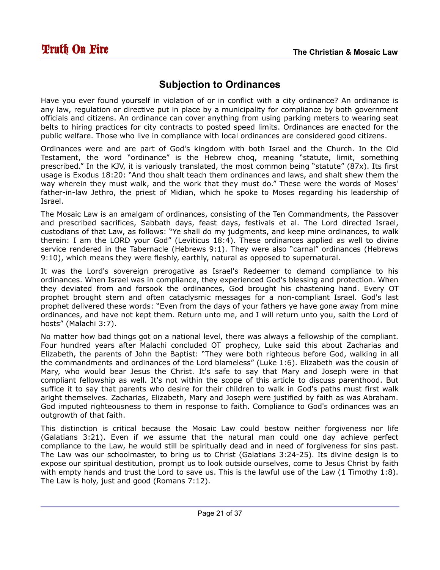# <span id="page-20-0"></span>**Subjection to Ordinances**

Have you ever found yourself in violation of or in conflict with a city ordinance? An ordinance is any law, regulation or directive put in place by a municipality for compliance by both government officials and citizens. An ordinance can cover anything from using parking meters to wearing seat belts to hiring practices for city contracts to posted speed limits. Ordinances are enacted for the public welfare. Those who live in compliance with local ordinances are considered good citizens.

Ordinances were and are part of God's kingdom with both Israel and the Church. In the Old Testament, the word "ordinance" is the Hebrew choq, meaning "statute, limit, something prescribed." In the KJV, it is variously translated, the most common being "statute" (87x). Its first usage is Exodus 18:20: "And thou shalt teach them ordinances and laws, and shalt shew them the way wherein they must walk, and the work that they must do." These were the words of Moses' father-in-law Jethro, the priest of Midian, which he spoke to Moses regarding his leadership of Israel.

The Mosaic Law is an amalgam of ordinances, consisting of the Ten Commandments, the Passover and prescribed sacrifices, Sabbath days, feast days, festivals et al. The Lord directed Israel, custodians of that Law, as follows: "Ye shall do my judgments, and keep mine ordinances, to walk therein: I am the LORD your God" (Leviticus 18:4). These ordinances applied as well to divine service rendered in the Tabernacle (Hebrews 9:1). They were also "carnal" ordinances (Hebrews 9:10), which means they were fleshly, earthly, natural as opposed to supernatural.

It was the Lord's sovereign prerogative as Israel's Redeemer to demand compliance to his ordinances. When Israel was in compliance, they experienced God's blessing and protection. When they deviated from and forsook the ordinances, God brought his chastening hand. Every OT prophet brought stern and often cataclysmic messages for a non-compliant Israel. God's last prophet delivered these words: "Even from the days of your fathers ye have gone away from mine ordinances, and have not kept them. Return unto me, and I will return unto you, saith the Lord of hosts" (Malachi 3:7).

No matter how bad things got on a national level, there was always a fellowship of the compliant. Four hundred years after Malachi concluded OT prophecy, Luke said this about Zacharias and Elizabeth, the parents of John the Baptist: "They were both righteous before God, walking in all the commandments and ordinances of the Lord blameless" (Luke 1:6). Elizabeth was the cousin of Mary, who would bear Jesus the Christ. It's safe to say that Mary and Joseph were in that compliant fellowship as well. It's not within the scope of this article to discuss parenthood. But suffice it to say that parents who desire for their children to walk in God's paths must first walk aright themselves. Zacharias, Elizabeth, Mary and Joseph were justified by faith as was Abraham. God imputed righteousness to them in response to faith. Compliance to God's ordinances was an outgrowth of that faith.

This distinction is critical because the Mosaic Law could bestow neither forgiveness nor life (Galatians 3:21). Even if we assume that the natural man could one day achieve perfect compliance to the Law, he would still be spiritually dead and in need of forgiveness for sins past. The Law was our schoolmaster, to bring us to Christ (Galatians 3:24-25). Its divine design is to expose our spiritual destitution, prompt us to look outside ourselves, come to Jesus Christ by faith with empty hands and trust the Lord to save us. This is the lawful use of the Law (1 Timothy 1:8). The Law is holy, just and good (Romans 7:12).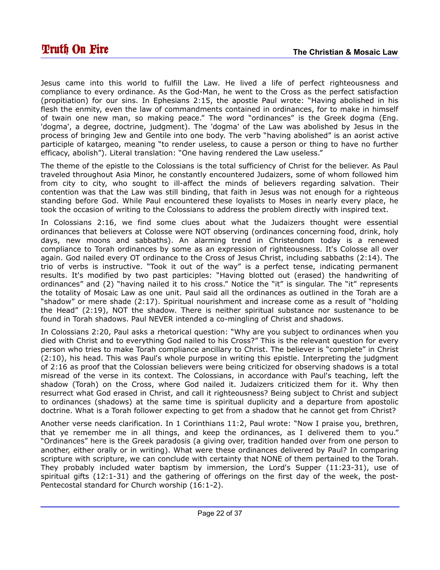Jesus came into this world to fulfill the Law. He lived a life of perfect righteousness and compliance to every ordinance. As the God-Man, he went to the Cross as the perfect satisfaction (propitiation) for our sins. In Ephesians 2:15, the apostle Paul wrote: "Having abolished in his flesh the enmity, even the law of commandments contained in ordinances, for to make in himself of twain one new man, so making peace." The word "ordinances" is the Greek dogma (Eng. 'dogma', a degree, doctrine, judgment). The 'dogma' of the Law was abolished by Jesus in the process of bringing Jew and Gentile into one body. The verb "having abolished" is an aorist active participle of katargeo, meaning "to render useless, to cause a person or thing to have no further efficacy, abolish"). Literal translation: "One having rendered the Law useless."

The theme of the epistle to the Colossians is the total sufficiency of Christ for the believer. As Paul traveled throughout Asia Minor, he constantly encountered Judaizers, some of whom followed him from city to city, who sought to ill-affect the minds of believers regarding salvation. Their contention was that the Law was still binding, that faith in Jesus was not enough for a righteous standing before God. While Paul encountered these loyalists to Moses in nearly every place, he took the occasion of writing to the Colossians to address the problem directly with inspired text.

In Colossians 2:16, we find some clues about what the Judaizers thought were essential ordinances that believers at Colosse were NOT observing (ordinances concerning food, drink, holy days, new moons and sabbaths). An alarming trend in Christendom today is a renewed compliance to Torah ordinances by some as an expression of righteousness. It's Colosse all over again. God nailed every OT ordinance to the Cross of Jesus Christ, including sabbaths (2:14). The trio of verbs is instructive. "Took it out of the way" is a perfect tense, indicating permanent results. It's modified by two past participles: "Having blotted out (erased) the handwriting of ordinances" and (2) "having nailed it to his cross." Notice the "it" is singular. The "it" represents the totality of Mosaic Law as one unit. Paul said all the ordinances as outlined in the Torah are a "shadow" or mere shade (2:17). Spiritual nourishment and increase come as a result of "holding the Head" (2:19), NOT the shadow. There is neither spiritual substance nor sustenance to be found in Torah shadows. Paul NEVER intended a co-mingling of Christ and shadows.

In Colossians 2:20, Paul asks a rhetorical question: "Why are you subject to ordinances when you died with Christ and to everything God nailed to his Cross?" This is the relevant question for every person who tries to make Torah compliance ancillary to Christ. The believer is "complete" in Christ (2:10), his head. This was Paul's whole purpose in writing this epistle. Interpreting the judgment of 2:16 as proof that the Colossian believers were being criticized for observing shadows is a total misread of the verse in its context. The Colossians, in accordance with Paul's teaching, left the shadow (Torah) on the Cross, where God nailed it. Judaizers criticized them for it. Why then resurrect what God erased in Christ, and call it righteousness? Being subject to Christ and subject to ordinances (shadows) at the same time is spiritual duplicity and a departure from apostolic doctrine. What is a Torah follower expecting to get from a shadow that he cannot get from Christ?

Another verse needs clarification. In 1 Corinthians 11:2, Paul wrote: "Now I praise you, brethren, that ye remember me in all things, and keep the ordinances, as I delivered them to you." "Ordinances" here is the Greek paradosis (a giving over, tradition handed over from one person to another, either orally or in writing). What were these ordinances delivered by Paul? In comparing scripture with scripture, we can conclude with certainty that NONE of them pertained to the Torah. They probably included water baptism by immersion, the Lord's Supper (11:23-31), use of spiritual gifts (12:1-31) and the gathering of offerings on the first day of the week, the post-Pentecostal standard for Church worship (16:1-2).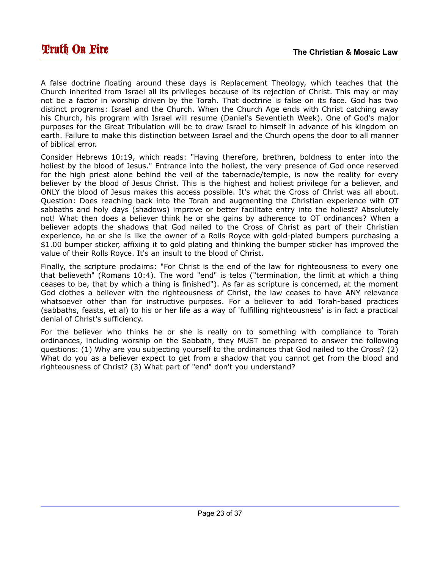A false doctrine floating around these days is Replacement Theology, which teaches that the Church inherited from Israel all its privileges because of its rejection of Christ. This may or may not be a factor in worship driven by the Torah. That doctrine is false on its face. God has two distinct programs: Israel and the Church. When the Church Age ends with Christ catching away his Church, his program with Israel will resume (Daniel's Seventieth Week). One of God's major purposes for the Great Tribulation will be to draw Israel to himself in advance of his kingdom on earth. Failure to make this distinction between Israel and the Church opens the door to all manner of biblical error.

Consider Hebrews 10:19, which reads: "Having therefore, brethren, boldness to enter into the holiest by the blood of Jesus." Entrance into the holiest, the very presence of God once reserved for the high priest alone behind the veil of the tabernacle/temple, is now the reality for every believer by the blood of Jesus Christ. This is the highest and holiest privilege for a believer, and ONLY the blood of Jesus makes this access possible. It's what the Cross of Christ was all about. Question: Does reaching back into the Torah and augmenting the Christian experience with OT sabbaths and holy days (shadows) improve or better facilitate entry into the holiest? Absolutely not! What then does a believer think he or she gains by adherence to OT ordinances? When a believer adopts the shadows that God nailed to the Cross of Christ as part of their Christian experience, he or she is like the owner of a Rolls Royce with gold-plated bumpers purchasing a \$1.00 bumper sticker, affixing it to gold plating and thinking the bumper sticker has improved the value of their Rolls Royce. It's an insult to the blood of Christ.

Finally, the scripture proclaims: "For Christ is the end of the law for righteousness to every one that believeth" (Romans 10:4). The word "end" is telos ("termination, the limit at which a thing ceases to be, that by which a thing is finished"). As far as scripture is concerned, at the moment God clothes a believer with the righteousness of Christ, the law ceases to have ANY relevance whatsoever other than for instructive purposes. For a believer to add Torah-based practices (sabbaths, feasts, et al) to his or her life as a way of 'fulfilling righteousness' is in fact a practical denial of Christ's sufficiency.

For the believer who thinks he or she is really on to something with compliance to Torah ordinances, including worship on the Sabbath, they MUST be prepared to answer the following questions: (1) Why are you subjecting yourself to the ordinances that God nailed to the Cross? (2) What do you as a believer expect to get from a shadow that you cannot get from the blood and righteousness of Christ? (3) What part of "end" don't you understand?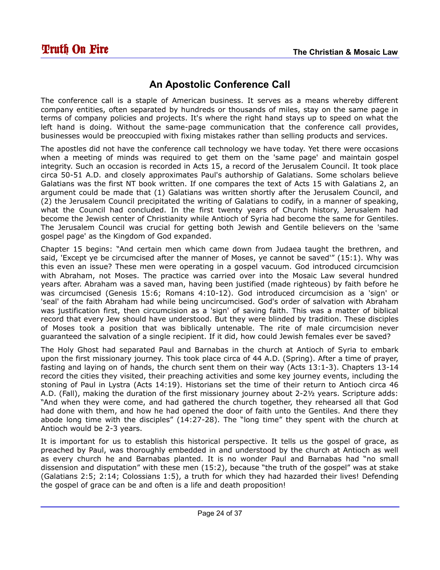## <span id="page-23-0"></span>**An Apostolic Conference Call**

The conference call is a staple of American business. It serves as a means whereby different company entities, often separated by hundreds or thousands of miles, stay on the same page in terms of company policies and projects. It's where the right hand stays up to speed on what the left hand is doing. Without the same-page communication that the conference call provides, businesses would be preoccupied with fixing mistakes rather than selling products and services.

The apostles did not have the conference call technology we have today. Yet there were occasions when a meeting of minds was required to get them on the 'same page' and maintain gospel integrity. Such an occasion is recorded in Acts 15, a record of the Jerusalem Council. It took place circa 50-51 A.D. and closely approximates Paul's authorship of Galatians. Some scholars believe Galatians was the first NT book written. If one compares the text of Acts 15 with Galatians 2, an argument could be made that (1) Galatians was written shortly after the Jerusalem Council, and (2) the Jerusalem Council precipitated the writing of Galatians to codify, in a manner of speaking, what the Council had concluded. In the first twenty years of Church history, Jerusalem had become the Jewish center of Christianity while Antioch of Syria had become the same for Gentiles. The Jerusalem Council was crucial for getting both Jewish and Gentile believers on the 'same gospel page' as the Kingdom of God expanded.

Chapter 15 begins: "And certain men which came down from Judaea taught the brethren, and said, 'Except ye be circumcised after the manner of Moses, ye cannot be saved'" (15:1). Why was this even an issue? These men were operating in a gospel vacuum. God introduced circumcision with Abraham, not Moses. The practice was carried over into the Mosaic Law several hundred years after. Abraham was a saved man, having been justified (made righteous) by faith before he was circumcised (Genesis 15:6; Romans 4:10-12). God introduced circumcision as a 'sign' or 'seal' of the faith Abraham had while being uncircumcised. God's order of salvation with Abraham was justification first, then circumcision as a 'sign' of saving faith. This was a matter of biblical record that every Jew should have understood. But they were blinded by tradition. These disciples of Moses took a position that was biblically untenable. The rite of male circumcision never guaranteed the salvation of a single recipient. If it did, how could Jewish females ever be saved?

The Holy Ghost had separated Paul and Barnabas in the church at Antioch of Syria to embark upon the first missionary journey. This took place circa of 44 A.D. (Spring). After a time of prayer, fasting and laying on of hands, the church sent them on their way (Acts 13:1-3). Chapters 13-14 record the cities they visited, their preaching activities and some key journey events, including the stoning of Paul in Lystra (Acts 14:19). Historians set the time of their return to Antioch circa 46 A.D. (Fall), making the duration of the first missionary journey about 2-2½ years. Scripture adds: "And when they were come, and had gathered the church together, they rehearsed all that God had done with them, and how he had opened the door of faith unto the Gentiles. And there they abode long time with the disciples" (14:27-28). The "long time" they spent with the church at Antioch would be 2-3 years.

It is important for us to establish this historical perspective. It tells us the gospel of grace, as preached by Paul, was thoroughly embedded in and understood by the church at Antioch as well as every church he and Barnabas planted. It is no wonder Paul and Barnabas had "no small dissension and disputation" with these men (15:2), because "the truth of the gospel" was at stake (Galatians 2:5; 2:14; Colossians 1:5), a truth for which they had hazarded their lives! Defending the gospel of grace can be and often is a life and death proposition!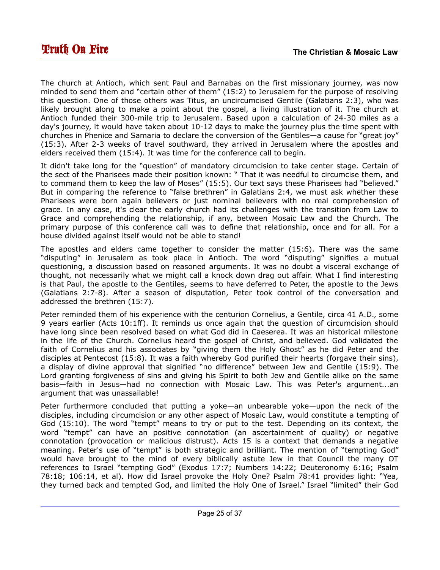The church at Antioch, which sent Paul and Barnabas on the first missionary journey, was now minded to send them and "certain other of them" (15:2) to Jerusalem for the purpose of resolving this question. One of those others was Titus, an uncircumcised Gentile (Galatians 2:3), who was likely brought along to make a point about the gospel, a living illustration of it. The church at Antioch funded their 300-mile trip to Jerusalem. Based upon a calculation of 24-30 miles as a day's journey, it would have taken about 10-12 days to make the journey plus the time spent with churches in Phenice and Samaria to declare the conversion of the Gentiles—a cause for "great joy" (15:3). After 2-3 weeks of travel southward, they arrived in Jerusalem where the apostles and elders received them (15:4). It was time for the conference call to begin.

It didn't take long for the "question" of mandatory circumcision to take center stage. Certain of the sect of the Pharisees made their position known: " That it was needful to circumcise them, and to command them to keep the law of Moses" (15:5). Our text says these Pharisees had "believed." But in comparing the reference to "false brethren" in Galatians 2:4, we must ask whether these Pharisees were born again believers or just nominal believers with no real comprehension of grace. In any case, it's clear the early church had its challenges with the transition from Law to Grace and comprehending the relationship, if any, between Mosaic Law and the Church. The primary purpose of this conference call was to define that relationship, once and for all. For a house divided against itself would not be able to stand!

The apostles and elders came together to consider the matter (15:6). There was the same "disputing" in Jerusalem as took place in Antioch. The word "disputing" signifies a mutual questioning, a discussion based on reasoned arguments. It was no doubt a visceral exchange of thought, not necessarily what we might call a knock down drag out affair. What I find interesting is that Paul, the apostle to the Gentiles, seems to have deferred to Peter, the apostle to the Jews (Galatians 2:7-8). After a season of disputation, Peter took control of the conversation and addressed the brethren (15:7).

Peter reminded them of his experience with the centurion Cornelius, a Gentile, circa 41 A.D., some 9 years earlier (Acts 10:1ff). It reminds us once again that the question of circumcision should have long since been resolved based on what God did in Caeserea. It was an historical milestone in the life of the Church. Cornelius heard the gospel of Christ, and believed. God validated the faith of Cornelius and his associates by "giving them the Holy Ghost" as he did Peter and the disciples at Pentecost (15:8). It was a faith whereby God purified their hearts (forgave their sins), a display of divine approval that signified "no difference" between Jew and Gentile (15:9). The Lord granting forgiveness of sins and giving his Spirit to both Jew and Gentile alike on the same basis—faith in Jesus—had no connection with Mosaic Law. This was Peter's argument...an argument that was unassailable!

Peter furthermore concluded that putting a yoke—an unbearable yoke—upon the neck of the disciples, including circumcision or any other aspect of Mosaic Law, would constitute a tempting of God (15:10). The word "tempt" means to try or put to the test. Depending on its context, the word "tempt" can have an positive connotation (an ascertainment of quality) or negative connotation (provocation or malicious distrust). Acts 15 is a context that demands a negative meaning. Peter's use of "tempt" is both strategic and brilliant. The mention of "tempting God" would have brought to the mind of every biblically astute Jew in that Council the many OT references to Israel "tempting God" (Exodus 17:7; Numbers 14:22; Deuteronomy 6:16; Psalm 78:18; 106:14, et al). How did Israel provoke the Holy One? Psalm 78:41 provides light: "Yea, they turned back and tempted God, and limited the Holy One of Israel." Israel "limited" their God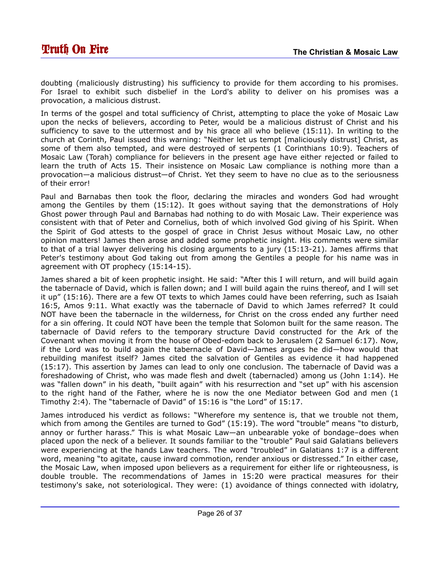doubting (maliciously distrusting) his sufficiency to provide for them according to his promises. For Israel to exhibit such disbelief in the Lord's ability to deliver on his promises was a provocation, a malicious distrust.

In terms of the gospel and total sufficiency of Christ, attempting to place the yoke of Mosaic Law upon the necks of believers, according to Peter, would be a malicious distrust of Christ and his sufficiency to save to the uttermost and by his grace all who believe (15:11). In writing to the church at Corinth, Paul issued this warning: "Neither let us tempt [maliciously distrust] Christ, as some of them also tempted, and were destroyed of serpents (1 Corinthians 10:9). Teachers of Mosaic Law (Torah) compliance for believers in the present age have either rejected or failed to learn the truth of Acts 15. Their insistence on Mosaic Law compliance is nothing more than a provocation—a malicious distrust—of Christ. Yet they seem to have no clue as to the seriousness of their error!

Paul and Barnabas then took the floor, declaring the miracles and wonders God had wrought among the Gentiles by them (15:12). It goes without saying that the demonstrations of Holy Ghost power through Paul and Barnabas had nothing to do with Mosaic Law. Their experience was consistent with that of Peter and Cornelius, both of which involved God giving of his Spirit. When the Spirit of God attests to the gospel of grace in Christ Jesus without Mosaic Law, no other opinion matters! James then arose and added some prophetic insight. His comments were similar to that of a trial lawyer delivering his closing arguments to a jury (15:13-21). James affirms that Peter's testimony about God taking out from among the Gentiles a people for his name was in agreement with OT prophecy (15:14-15).

James shared a bit of keen prophetic insight. He said: "After this I will return, and will build again the tabernacle of David, which is fallen down; and I will build again the ruins thereof, and I will set it up" (15:16). There are a few OT texts to which James could have been referring, such as Isaiah 16:5, Amos 9:11. What exactly was the tabernacle of David to which James referred? It could NOT have been the tabernacle in the wilderness, for Christ on the cross ended any further need for a sin offering. It could NOT have been the temple that Solomon built for the same reason. The tabernacle of David refers to the temporary structure David constructed for the Ark of the Covenant when moving it from the house of Obed-edom back to Jerusalem (2 Samuel 6:17). Now, if the Lord was to build again the tabernacle of David—James argues he did—how would that rebuilding manifest itself? James cited the salvation of Gentiles as evidence it had happened (15:17). This assertion by James can lead to only one conclusion. The tabernacle of David was a foreshadowing of Christ, who was made flesh and dwelt (tabernacled) among us (John 1:14). He was "fallen down" in his death, "built again" with his resurrection and "set up" with his ascension to the right hand of the Father, where he is now the one Mediator between God and men (1 Timothy 2:4). The "tabernacle of David" of 15:16 is "the Lord" of 15:17.

James introduced his verdict as follows: "Wherefore my sentence is, that we trouble not them, which from among the Gentiles are turned to God" (15:19). The word "trouble" means "to disturb, annoy or further harass." This is what Mosaic Law—an unbearable yoke of bondage–does when placed upon the neck of a believer. It sounds familiar to the "trouble" Paul said Galatians believers were experiencing at the hands Law teachers. The word "troubled" in Galatians 1:7 is a different word, meaning "to agitate, cause inward commotion, render anxious or distressed." In either case, the Mosaic Law, when imposed upon believers as a requirement for either life or righteousness, is double trouble. The recommendations of James in 15:20 were practical measures for their testimony's sake, not soteriological. They were: (1) avoidance of things connected with idolatry,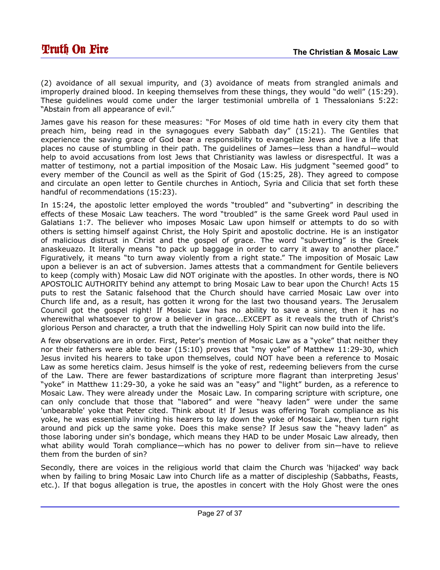(2) avoidance of all sexual impurity, and (3) avoidance of meats from strangled animals and improperly drained blood. In keeping themselves from these things, they would "do well" (15:29). These guidelines would come under the larger testimonial umbrella of 1 Thessalonians 5:22: "Abstain from all appearance of evil."

James gave his reason for these measures: "For Moses of old time hath in every city them that preach him, being read in the synagogues every Sabbath day" (15:21). The Gentiles that experience the saving grace of God bear a responsibility to evangelize Jews and live a life that places no cause of stumbling in their path. The guidelines of James—less than a handful—would help to avoid accusations from lost Jews that Christianity was lawless or disrespectful. It was a matter of testimony, not a partial imposition of the Mosaic Law. His judgment "seemed good" to every member of the Council as well as the Spirit of God (15:25, 28). They agreed to compose and circulate an open letter to Gentile churches in Antioch, Syria and Cilicia that set forth these handful of recommendations (15:23).

In 15:24, the apostolic letter employed the words "troubled" and "subverting" in describing the effects of these Mosaic Law teachers. The word "troubled" is the same Greek word Paul used in Galatians 1:7. The believer who imposes Mosaic Law upon himself or attempts to do so with others is setting himself against Christ, the Holy Spirit and apostolic doctrine. He is an instigator of malicious distrust in Christ and the gospel of grace. The word "subverting" is the Greek anaskeuazo. It literally means "to pack up baggage in order to carry it away to another place." Figuratively, it means "to turn away violently from a right state." The imposition of Mosaic Law upon a believer is an act of subversion. James attests that a commandment for Gentile believers to keep (comply with) Mosaic Law did NOT originate with the apostles. In other words, there is NO APOSTOLIC AUTHORITY behind any attempt to bring Mosaic Law to bear upon the Church! Acts 15 puts to rest the Satanic falsehood that the Church should have carried Mosaic Law over into Church life and, as a result, has gotten it wrong for the last two thousand years. The Jerusalem Council got the gospel right! If Mosaic Law has no ability to save a sinner, then it has no wherewithal whatsoever to grow a believer in grace...EXCEPT as it reveals the truth of Christ's glorious Person and character, a truth that the indwelling Holy Spirit can now build into the life.

A few observations are in order. First, Peter's mention of Mosaic Law as a "yoke" that neither they nor their fathers were able to bear (15:10) proves that "my yoke" of Matthew 11:29-30, which Jesus invited his hearers to take upon themselves, could NOT have been a reference to Mosaic Law as some heretics claim. Jesus himself is the yoke of rest, redeeming believers from the curse of the Law. There are fewer bastardizations of scripture more flagrant than interpreting Jesus' "yoke" in Matthew 11:29-30, a yoke he said was an "easy" and "light" burden, as a reference to Mosaic Law. They were already under the Mosaic Law. In comparing scripture with scripture, one can only conclude that those that "labored" and were "heavy laden" were under the same 'unbearable' yoke that Peter cited. Think about it! If Jesus was offering Torah compliance as his yoke, he was essentially inviting his hearers to lay down the yoke of Mosaic Law, then turn right around and pick up the same yoke. Does this make sense? If Jesus saw the "heavy laden" as those laboring under sin's bondage, which means they HAD to be under Mosaic Law already, then what ability would Torah compliance—which has no power to deliver from sin—have to relieve them from the burden of sin?

Secondly, there are voices in the religious world that claim the Church was 'hijacked' way back when by failing to bring Mosaic Law into Church life as a matter of discipleship (Sabbaths, Feasts, etc.). If that bogus allegation is true, the apostles in concert with the Holy Ghost were the ones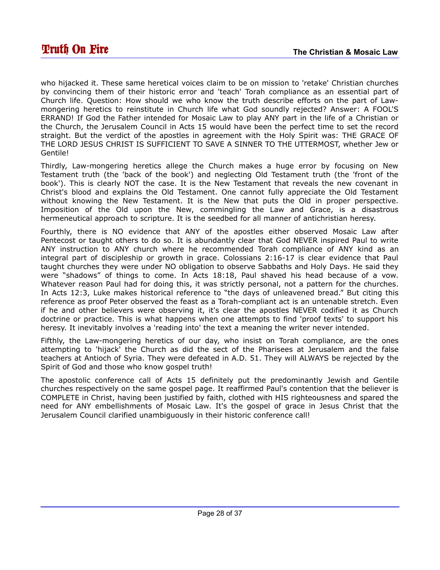who hijacked it. These same heretical voices claim to be on mission to 'retake' Christian churches by convincing them of their historic error and 'teach' Torah compliance as an essential part of Church life. Question: How should we who know the truth describe efforts on the part of Lawmongering heretics to reinstitute in Church life what God soundly rejected? Answer: A FOOL'S ERRAND! If God the Father intended for Mosaic Law to play ANY part in the life of a Christian or the Church, the Jerusalem Council in Acts 15 would have been the perfect time to set the record straight. But the verdict of the apostles in agreement with the Holy Spirit was: THE GRACE OF THE LORD JESUS CHRIST IS SUFFICIENT TO SAVE A SINNER TO THE UTTERMOST, whether Jew or Gentile!

Thirdly, Law-mongering heretics allege the Church makes a huge error by focusing on New Testament truth (the 'back of the book') and neglecting Old Testament truth (the 'front of the book'). This is clearly NOT the case. It is the New Testament that reveals the new covenant in Christ's blood and explains the Old Testament. One cannot fully appreciate the Old Testament without knowing the New Testament. It is the New that puts the Old in proper perspective. Imposition of the Old upon the New, commingling the Law and Grace, is a disastrous hermeneutical approach to scripture. It is the seedbed for all manner of antichristian heresy.

Fourthly, there is NO evidence that ANY of the apostles either observed Mosaic Law after Pentecost or taught others to do so. It is abundantly clear that God NEVER inspired Paul to write ANY instruction to ANY church where he recommended Torah compliance of ANY kind as an integral part of discipleship or growth in grace. Colossians 2:16-17 is clear evidence that Paul taught churches they were under NO obligation to observe Sabbaths and Holy Days. He said they were "shadows" of things to come. In Acts 18:18, Paul shaved his head because of a vow. Whatever reason Paul had for doing this, it was strictly personal, not a pattern for the churches. In Acts 12:3, Luke makes historical reference to "the days of unleavened bread." But citing this reference as proof Peter observed the feast as a Torah-compliant act is an untenable stretch. Even if he and other believers were observing it, it's clear the apostles NEVER codified it as Church doctrine or practice. This is what happens when one attempts to find 'proof texts' to support his heresy. It inevitably involves a 'reading into' the text a meaning the writer never intended.

Fifthly, the Law-mongering heretics of our day, who insist on Torah compliance, are the ones attempting to 'hijack' the Church as did the sect of the Pharisees at Jerusalem and the false teachers at Antioch of Syria. They were defeated in A.D. 51. They will ALWAYS be rejected by the Spirit of God and those who know gospel truth!

The apostolic conference call of Acts 15 definitely put the predominantly Jewish and Gentile churches respectively on the same gospel page. It reaffirmed Paul's contention that the believer is COMPLETE in Christ, having been justified by faith, clothed with HIS righteousness and spared the need for ANY embellishments of Mosaic Law. It's the gospel of grace in Jesus Christ that the Jerusalem Council clarified unambiguously in their historic conference call!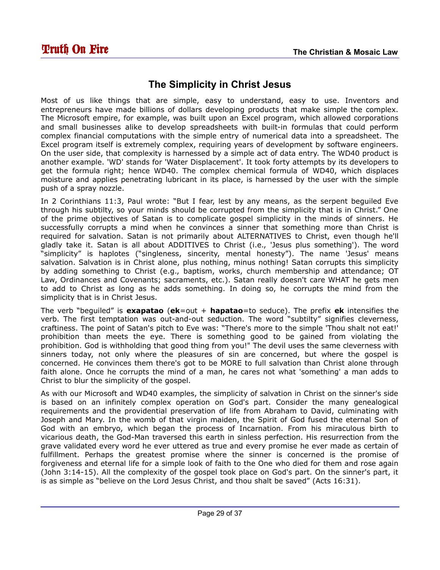# <span id="page-28-0"></span>**The Simplicity in Christ Jesus**

Most of us like things that are simple, easy to understand, easy to use. Inventors and entrepreneurs have made billions of dollars developing products that make simple the complex. The Microsoft empire, for example, was built upon an Excel program, which allowed corporations and small businesses alike to develop spreadsheets with built-in formulas that could perform complex financial computations with the simple entry of numerical data into a spreadsheet. The Excel program itself is extremely complex, requiring years of development by software engineers. On the user side, that complexity is harnessed by a simple act of data entry. The WD40 product is another example. 'WD' stands for 'Water Displacement'. It took forty attempts by its developers to get the formula right; hence WD40. The complex chemical formula of WD40, which displaces moisture and applies penetrating lubricant in its place, is harnessed by the user with the simple push of a spray nozzle.

In 2 Corinthians 11:3, Paul wrote: "But I fear, lest by any means, as the serpent beguiled Eve through his subtilty, so your minds should be corrupted from the simplicity that is in Christ." One of the prime objectives of Satan is to complicate gospel simplicity in the minds of sinners. He successfully corrupts a mind when he convinces a sinner that something more than Christ is required for salvation. Satan is not primarily about ALTERNATIVES to Christ, even though he'll gladly take it. Satan is all about ADDITIVES to Christ (i.e., 'Jesus plus something'). The word "simplicity" is haplotes ("singleness, sincerity, mental honesty"). The name 'Jesus' means salvation. Salvation is in Christ alone, plus nothing, minus nothing! Satan corrupts this simplicity by adding something to Christ (e.g., baptism, works, church membership and attendance; OT Law, Ordinances and Covenants; sacraments, etc.). Satan really doesn't care WHAT he gets men to add to Christ as long as he adds something. In doing so, he corrupts the mind from the simplicity that is in Christ Jesus.

The verb "beguiled" is **exapatao** (**ek**=out + **hapatao**=to seduce). The prefix **ek** intensifies the verb. The first temptation was out-and-out seduction. The word "subtilty" signifies cleverness, craftiness. The point of Satan's pitch to Eve was: "There's more to the simple 'Thou shalt not eat!' prohibition than meets the eye. There is something good to be gained from violating the prohibition. God is withholding that good thing from you!" The devil uses the same cleverness with sinners today, not only where the pleasures of sin are concerned, but where the gospel is concerned. He convinces them there's got to be MORE to full salvation than Christ alone through faith alone. Once he corrupts the mind of a man, he cares not what 'something' a man adds to Christ to blur the simplicity of the gospel.

As with our Microsoft and WD40 examples, the simplicity of salvation in Christ on the sinner's side is based on an infinitely complex operation on God's part. Consider the many genealogical requirements and the providential preservation of life from Abraham to David, culminating with Joseph and Mary. In the womb of that virgin maiden, the Spirit of God fused the eternal Son of God with an embryo, which began the process of Incarnation. From his miraculous birth to vicarious death, the God-Man traversed this earth in sinless perfection. His resurrection from the grave validated every word he ever uttered as true and every promise he ever made as certain of fulfillment. Perhaps the greatest promise where the sinner is concerned is the promise of forgiveness and eternal life for a simple look of faith to the One who died for them and rose again (John 3:14-15). All the complexity of the gospel took place on God's part. On the sinner's part, it is as simple as "believe on the Lord Jesus Christ, and thou shalt be saved" (Acts 16:31).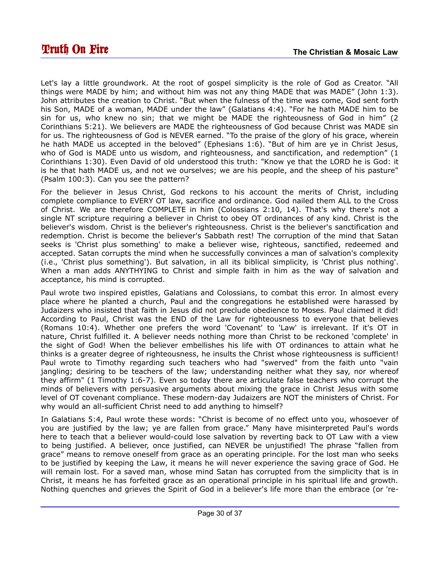Let's lay a little groundwork. At the root of gospel simplicity is the role of God as Creator. "All things were MADE by him; and without him was not any thing MADE that was MADE" (John 1:3). John attributes the creation to Christ. "But when the fulness of the time was come, God sent forth his Son, MADE of a woman, MADE under the law" (Galatians 4:4). "For he hath MADE him to be sin for us, who knew no sin; that we might be MADE the righteousness of God in him" (2 Corinthians 5:21). We believers are MADE the righteousness of God because Christ was MADE sin for us. The righteousness of God is NEVER earned. "To the praise of the glory of his grace, wherein he hath MADE us accepted in the beloved" (Ephesians 1:6). "But of him are ye in Christ Jesus, who of God is MADE unto us wisdom, and righteousness, and sanctification, and redemption" (1 Corinthians 1:30). Even David of old understood this truth: "Know ye that the LORD he is God: it is he that hath MADE us, and not we ourselves; we are his people, and the sheep of his pasture" (Psalm 100:3). Can you see the pattern?

For the believer in Jesus Christ, God reckons to his account the merits of Christ, including complete compliance to EVERY OT law, sacrifice and ordinance. God nailed them ALL to the Cross of Christ. We are therefore COMPLETE in him (Colossians 2:10, 14). That's why there's not a single NT scripture requiring a believer in Christ to obey OT ordinances of any kind. Christ is the believer's wisdom. Christ is the believer's righteousness. Christ is the believer's sanctification and redemption. Christ is become the believer's Sabbath rest! The corruption of the mind that Satan seeks is 'Christ plus something' to make a believer wise, righteous, sanctified, redeemed and accepted. Satan corrupts the mind when he successfully convinces a man of salvation's complexity (i.e., 'Christ plus something'). But salvation, in all its biblical simplicity, is 'Christ plus nothing'. When a man adds ANYTHYING to Christ and simple faith in him as the way of salvation and acceptance, his mind is corrupted.

Paul wrote two inspired epistles, Galatians and Colossians, to combat this error. In almost every place where he planted a church, Paul and the congregations he established were harassed by Judaizers who insisted that faith in Jesus did not preclude obedience to Moses. Paul claimed it did! According to Paul, Christ was the END of the Law for righteousness to everyone that believes (Romans 10:4). Whether one prefers the word 'Covenant' to 'Law' is irrelevant. If it's OT in nature, Christ fulfilled it. A believer needs nothing more than Christ to be reckoned 'complete' in the sight of God! When the believer embellishes his life with OT ordinances to attain what he thinks is a greater degree of righteousness, he insults the Christ whose righteousness is sufficient! Paul wrote to Timothy regarding such teachers who had "swerved" from the faith unto "vain jangling; desiring to be teachers of the law; understanding neither what they say, nor whereof they affirm" (1 Timothy 1:6-7). Even so today there are articulate false teachers who corrupt the minds of believers with persuasive arguments about mixing the grace in Christ Jesus with some level of OT covenant compliance. These modern-day Judaizers are NOT the ministers of Christ. For why would an all-sufficient Christ need to add anything to himself?

In Galatians 5:4, Paul wrote these words: "Christ is become of no effect unto you, whosoever of you are justified by the law; ye are fallen from grace." Many have misinterpreted Paul's words here to teach that a believer would-could lose salvation by reverting back to OT Law with a view to being justified. A believer, once justified, can NEVER be unjustified! The phrase "fallen from grace" means to remove oneself from grace as an operating principle. For the lost man who seeks to be justified by keeping the Law, it means he will never experience the saving grace of God. He will remain lost. For a saved man, whose mind Satan has corrupted from the simplicity that is in Christ, it means he has forfeited grace as an operational principle in his spiritual life and growth. Nothing quenches and grieves the Spirit of God in a believer's life more than the embrace (or 're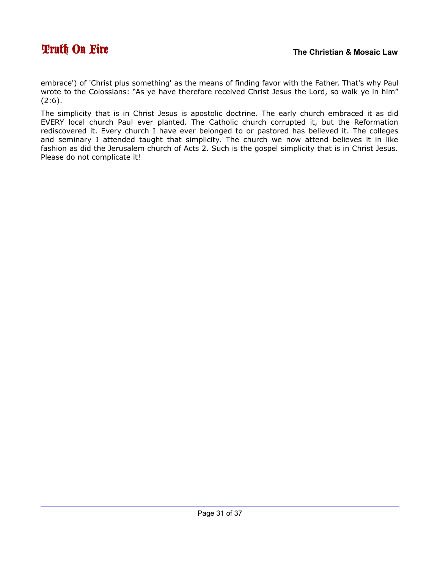embrace') of 'Christ plus something' as the means of finding favor with the Father. That's why Paul wrote to the Colossians: "As ye have therefore received Christ Jesus the Lord, so walk ye in him"  $(2:6).$ 

The simplicity that is in Christ Jesus is apostolic doctrine. The early church embraced it as did EVERY local church Paul ever planted. The Catholic church corrupted it, but the Reformation rediscovered it. Every church I have ever belonged to or pastored has believed it. The colleges and seminary I attended taught that simplicity. The church we now attend believes it in like fashion as did the Jerusalem church of Acts 2. Such is the gospel simplicity that is in Christ Jesus. Please do not complicate it!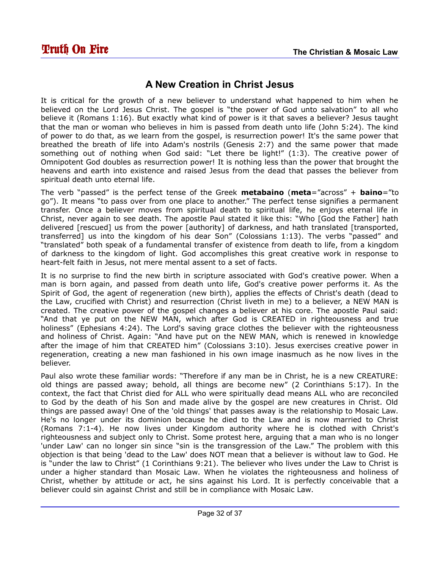## <span id="page-31-0"></span>**A New Creation in Christ Jesus**

It is critical for the growth of a new believer to understand what happened to him when he believed on the Lord Jesus Christ. The gospel is "the power of God unto salvation" to all who believe it (Romans 1:16). But exactly what kind of power is it that saves a believer? Jesus taught that the man or woman who believes in him is passed from death unto life (John 5:24). The kind of power to do that, as we learn from the gospel, is resurrection power! It's the same power that breathed the breath of life into Adam's nostrils (Genesis 2:7) and the same power that made something out of nothing when God said: "Let there be light!" (1:3). The creative power of Omnipotent God doubles as resurrection power! It is nothing less than the power that brought the heavens and earth into existence and raised Jesus from the dead that passes the believer from spiritual death unto eternal life.

The verb "passed" is the perfect tense of the Greek **metabaino** (**meta**="across" + **baino**="to go"). It means "to pass over from one place to another." The perfect tense signifies a permanent transfer. Once a believer moves from spiritual death to spiritual life, he enjoys eternal life in Christ, never again to see death. The apostle Paul stated it like this: "Who [God the Father] hath delivered [rescued] us from the power [authority] of darkness, and hath translated [transported, transferred] us into the kingdom of his dear Son" (Colossians 1:13). The verbs "passed" and "translated" both speak of a fundamental transfer of existence from death to life, from a kingdom of darkness to the kingdom of light. God accomplishes this great creative work in response to heart-felt faith in Jesus, not mere mental assent to a set of facts.

It is no surprise to find the new birth in scripture associated with God's creative power. When a man is born again, and passed from death unto life, God's creative power performs it. As the Spirit of God, the agent of regeneration (new birth), applies the effects of Christ's death (dead to the Law, crucified with Christ) and resurrection (Christ liveth in me) to a believer, a NEW MAN is created. The creative power of the gospel changes a believer at his core. The apostle Paul said: "And that ye put on the NEW MAN, which after God is CREATED in righteousness and true holiness" (Ephesians 4:24). The Lord's saving grace clothes the believer with the righteousness and holiness of Christ. Again: "And have put on the NEW MAN, which is renewed in knowledge after the image of him that CREATED him" (Colossians 3:10). Jesus exercises creative power in regeneration, creating a new man fashioned in his own image inasmuch as he now lives in the believer.

Paul also wrote these familiar words: "Therefore if any man be in Christ, he is a new CREATURE: old things are passed away; behold, all things are become new" (2 Corinthians 5:17). In the context, the fact that Christ died for ALL who were spiritually dead means ALL who are reconciled to God by the death of his Son and made alive by the gospel are new creatures in Christ. Old things are passed away! One of the 'old things' that passes away is the relationship to Mosaic Law. He's no longer under its dominion because he died to the Law and is now married to Christ (Romans 7:1-4). He now lives under Kingdom authority where he is clothed with Christ's righteousness and subject only to Christ. Some protest here, arguing that a man who is no longer 'under Law' can no longer sin since "sin is the transgression of the Law." The problem with this objection is that being 'dead to the Law' does NOT mean that a believer is without law to God. He is "under the law to Christ" (1 Corinthians 9:21). The believer who lives under the Law to Christ is under a higher standard than Mosaic Law. When he violates the righteousness and holiness of Christ, whether by attitude or act, he sins against his Lord. It is perfectly conceivable that a believer could sin against Christ and still be in compliance with Mosaic Law.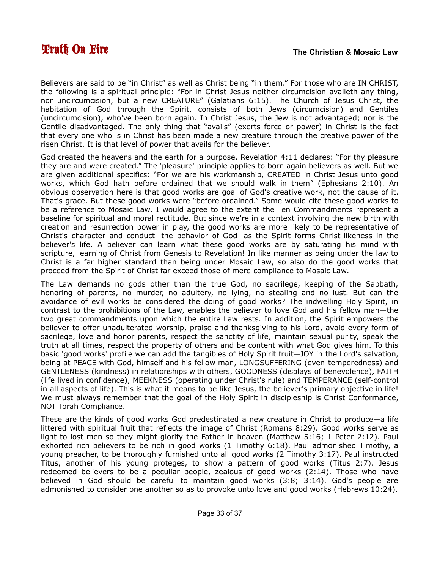Believers are said to be "in Christ" as well as Christ being "in them." For those who are IN CHRIST, the following is a spiritual principle: "For in Christ Jesus neither circumcision availeth any thing, nor uncircumcision, but a new CREATURE" (Galatians 6:15). The Church of Jesus Christ, the habitation of God through the Spirit, consists of both Jews (circumcision) and Gentiles (uncircumcision), who've been born again. In Christ Jesus, the Jew is not advantaged; nor is the Gentile disadvantaged. The only thing that "avails" (exerts force or power) in Christ is the fact that every one who is in Christ has been made a new creature through the creative power of the risen Christ. It is that level of power that avails for the believer.

God created the heavens and the earth for a purpose. Revelation 4:11 declares: "For thy pleasure they are and were created." The 'pleasure' principle applies to born again believers as well. But we are given additional specifics: "For we are his workmanship, CREATED in Christ Jesus unto good works, which God hath before ordained that we should walk in them" (Ephesians 2:10). An obvious observation here is that good works are goal of God's creative work, not the cause of it. That's grace. But these good works were "before ordained." Some would cite these good works to be a reference to Mosaic Law. I would agree to the extent the Ten Commandments represent a baseline for spiritual and moral rectitude. But since we're in a context involving the new birth with creation and resurrection power in play, the good works are more likely to be representative of Christ's character and conduct--the behavior of God--as the Spirit forms Christ-likeness in the believer's life. A believer can learn what these good works are by saturating his mind with scripture, learning of Christ from Genesis to Revelation! In like manner as being under the law to Christ is a far higher standard than being under Mosaic Law, so also do the good works that proceed from the Spirit of Christ far exceed those of mere compliance to Mosaic Law.

The Law demands no gods other than the true God, no sacrilege, keeping of the Sabbath, honoring of parents, no murder, no adultery, no lying, no stealing and no lust. But can the avoidance of evil works be considered the doing of good works? The indwelling Holy Spirit, in contrast to the prohibitions of the Law, enables the believer to love God and his fellow man—the two great commandments upon which the entire Law rests. In addition, the Spirit empowers the believer to offer unadulterated worship, praise and thanksgiving to his Lord, avoid every form of sacrilege, love and honor parents, respect the sanctity of life, maintain sexual purity, speak the truth at all times, respect the property of others and be content with what God gives him. To this basic 'good works' profile we can add the tangibles of Holy Spirit fruit—JOY in the Lord's salvation, being at PEACE with God, himself and his fellow man, LONGSUFFERING (even-temperedness) and GENTLENESS (kindness) in relationships with others, GOODNESS (displays of benevolence), FAITH (life lived in confidence), MEEKNESS (operating under Christ's rule) and TEMPERANCE (self-control in all aspects of life). This is what it means to be like Jesus, the believer's primary objective in life! We must always remember that the goal of the Holy Spirit in discipleship is Christ Conformance, NOT Torah Compliance.

These are the kinds of good works God predestinated a new creature in Christ to produce—a life littered with spiritual fruit that reflects the image of Christ (Romans 8:29). Good works serve as light to lost men so they might glorify the Father in heaven (Matthew 5:16; 1 Peter 2:12). Paul exhorted rich believers to be rich in good works (1 Timothy 6:18). Paul admonished Timothy, a young preacher, to be thoroughly furnished unto all good works (2 Timothy 3:17). Paul instructed Titus, another of his young proteges, to show a pattern of good works (Titus 2:7). Jesus redeemed believers to be a peculiar people, zealous of good works (2:14). Those who have believed in God should be careful to maintain good works (3:8; 3:14). God's people are admonished to consider one another so as to provoke unto love and good works (Hebrews 10:24).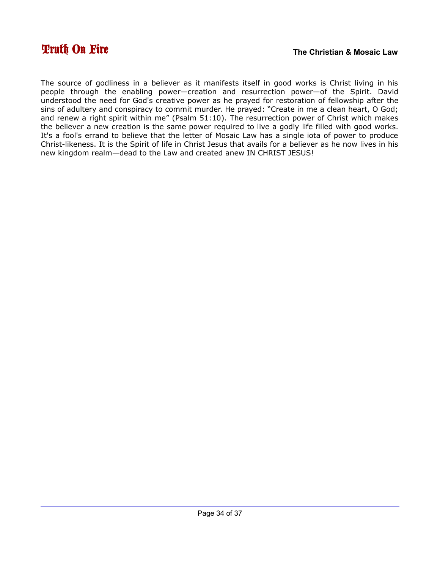The source of godliness in a believer as it manifests itself in good works is Christ living in his people through the enabling power—creation and resurrection power—of the Spirit. David understood the need for God's creative power as he prayed for restoration of fellowship after the sins of adultery and conspiracy to commit murder. He prayed: "Create in me a clean heart, O God; and renew a right spirit within me" (Psalm 51:10). The resurrection power of Christ which makes the believer a new creation is the same power required to live a godly life filled with good works. It's a fool's errand to believe that the letter of Mosaic Law has a single iota of power to produce Christ-likeness. It is the Spirit of life in Christ Jesus that avails for a believer as he now lives in his new kingdom realm—dead to the Law and created anew IN CHRIST JESUS!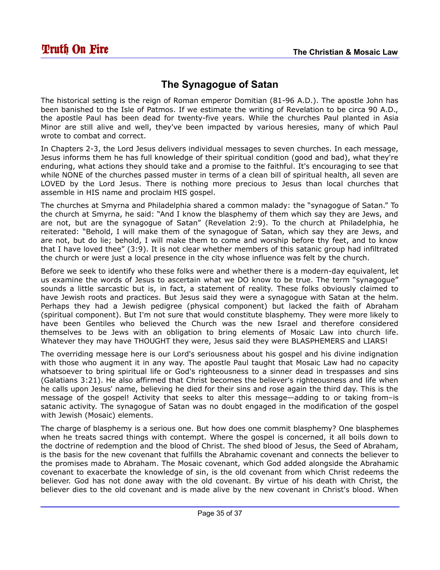# <span id="page-34-0"></span>**The Synagogue of Satan**

The historical setting is the reign of Roman emperor Domitian (81-96 A.D.). The apostle John has been banished to the Isle of Patmos. If we estimate the writing of Revelation to be circa 90 A.D., the apostle Paul has been dead for twenty-five years. While the churches Paul planted in Asia Minor are still alive and well, they've been impacted by various heresies, many of which Paul wrote to combat and correct.

In Chapters 2-3, the Lord Jesus delivers individual messages to seven churches. In each message, Jesus informs them he has full knowledge of their spiritual condition (good and bad), what they're enduring, what actions they should take and a promise to the faithful. It's encouraging to see that while NONE of the churches passed muster in terms of a clean bill of spiritual health, all seven are LOVED by the Lord Jesus. There is nothing more precious to Jesus than local churches that assemble in HIS name and proclaim HIS gospel.

The churches at Smyrna and Philadelphia shared a common malady: the "synagogue of Satan." To the church at Smyrna, he said: "And I know the blasphemy of them which say they are Jews, and are not, but are the synagogue of Satan" (Revelation 2:9). To the church at Philadelphia, he reiterated: "Behold, I will make them of the synagogue of Satan, which say they are Jews, and are not, but do lie; behold, I will make them to come and worship before thy feet, and to know that I have loved thee" (3:9). It is not clear whether members of this satanic group had infiltrated the church or were just a local presence in the city whose influence was felt by the church.

Before we seek to identify who these folks were and whether there is a modern-day equivalent, let us examine the words of Jesus to ascertain what we DO know to be true. The term "synagogue" sounds a little sarcastic but is, in fact, a statement of reality. These folks obviously claimed to have Jewish roots and practices. But Jesus said they were a synagogue with Satan at the helm. Perhaps they had a Jewish pedigree (physical component) but lacked the faith of Abraham (spiritual component). But I'm not sure that would constitute blasphemy. They were more likely to have been Gentiles who believed the Church was the new Israel and therefore considered themselves to be Jews with an obligation to bring elements of Mosaic Law into church life. Whatever they may have THOUGHT they were, Jesus said they were BLASPHEMERS and LIARS!

The overriding message here is our Lord's seriousness about his gospel and his divine indignation with those who augment it in any way. The apostle Paul taught that Mosaic Law had no capacity whatsoever to bring spiritual life or God's righteousness to a sinner dead in trespasses and sins (Galatians 3:21). He also affirmed that Christ becomes the believer's righteousness and life when he calls upon Jesus' name, believing he died for their sins and rose again the third day. This is the message of the gospel! Activity that seeks to alter this message—adding to or taking from–is satanic activity. The synagogue of Satan was no doubt engaged in the modification of the gospel with Jewish (Mosaic) elements.

The charge of blasphemy is a serious one. But how does one commit blasphemy? One blasphemes when he treats sacred things with contempt. Where the gospel is concerned, it all boils down to the doctrine of redemption and the blood of Christ. The shed blood of Jesus, the Seed of Abraham, is the basis for the new covenant that fulfills the Abrahamic covenant and connects the believer to the promises made to Abraham. The Mosaic covenant, which God added alongside the Abrahamic covenant to exacerbate the knowledge of sin, is the old covenant from which Christ redeems the believer. God has not done away with the old covenant. By virtue of his death with Christ, the believer dies to the old covenant and is made alive by the new covenant in Christ's blood. When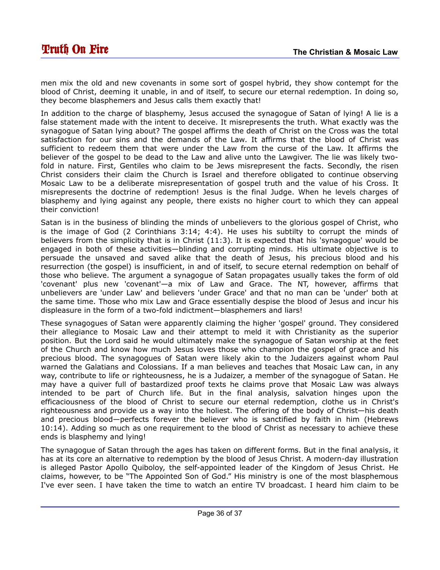men mix the old and new covenants in some sort of gospel hybrid, they show contempt for the blood of Christ, deeming it unable, in and of itself, to secure our eternal redemption. In doing so, they become blasphemers and Jesus calls them exactly that!

In addition to the charge of blasphemy, Jesus accused the synagogue of Satan of lying! A lie is a false statement made with the intent to deceive. It misrepresents the truth. What exactly was the synagogue of Satan lying about? The gospel affirms the death of Christ on the Cross was the total satisfaction for our sins and the demands of the Law. It affirms that the blood of Christ was sufficient to redeem them that were under the Law from the curse of the Law. It affirms the believer of the gospel to be dead to the Law and alive unto the Lawgiver. The lie was likely twofold in nature. First, Gentiles who claim to be Jews misrepresent the facts. Secondly, the risen Christ considers their claim the Church is Israel and therefore obligated to continue observing Mosaic Law to be a deliberate misrepresentation of gospel truth and the value of his Cross. It misrepresents the doctrine of redemption! Jesus is the final Judge. When he levels charges of blasphemy and lying against any people, there exists no higher court to which they can appeal their conviction!

Satan is in the business of blinding the minds of unbelievers to the glorious gospel of Christ, who is the image of God (2 Corinthians 3:14; 4:4). He uses his subtilty to corrupt the minds of believers from the simplicity that is in Christ (11:3). It is expected that his 'synagogue' would be engaged in both of these activities—blinding and corrupting minds. His ultimate objective is to persuade the unsaved and saved alike that the death of Jesus, his precious blood and his resurrection (the gospel) is insufficient, in and of itself, to secure eternal redemption on behalf of those who believe. The argument a synagogue of Satan propagates usually takes the form of old 'covenant' plus new 'covenant'—a mix of Law and Grace. The NT, however, affirms that unbelievers are 'under Law' and believers 'under Grace' and that no man can be 'under' both at the same time. Those who mix Law and Grace essentially despise the blood of Jesus and incur his displeasure in the form of a two-fold indictment—blasphemers and liars!

These synagogues of Satan were apparently claiming the higher 'gospel' ground. They considered their allegiance to Mosaic Law and their attempt to meld it with Christianity as the superior position. But the Lord said he would ultimately make the synagogue of Satan worship at the feet of the Church and know how much Jesus loves those who champion the gospel of grace and his precious blood. The synagogues of Satan were likely akin to the Judaizers against whom Paul warned the Galatians and Colossians. If a man believes and teaches that Mosaic Law can, in any way, contribute to life or righteousness, he is a Judaizer, a member of the synagogue of Satan. He may have a quiver full of bastardized proof texts he claims prove that Mosaic Law was always intended to be part of Church life. But in the final analysis, salvation hinges upon the efficaciousness of the blood of Christ to secure our eternal redemption, clothe us in Christ's righteousness and provide us a way into the holiest. The offering of the body of Christ—his death and precious blood—perfects forever the believer who is sanctified by faith in him (Hebrews 10:14). Adding so much as one requirement to the blood of Christ as necessary to achieve these ends is blasphemy and lying!

The synagogue of Satan through the ages has taken on different forms. But in the final analysis, it has at its core an alternative to redemption by the blood of Jesus Christ. A modern-day illustration is alleged Pastor Apollo Quiboloy, the self-appointed leader of the Kingdom of Jesus Christ. He claims, however, to be "The Appointed Son of God." His ministry is one of the most blasphemous I've ever seen. I have taken the time to watch an entire TV broadcast. I heard him claim to be